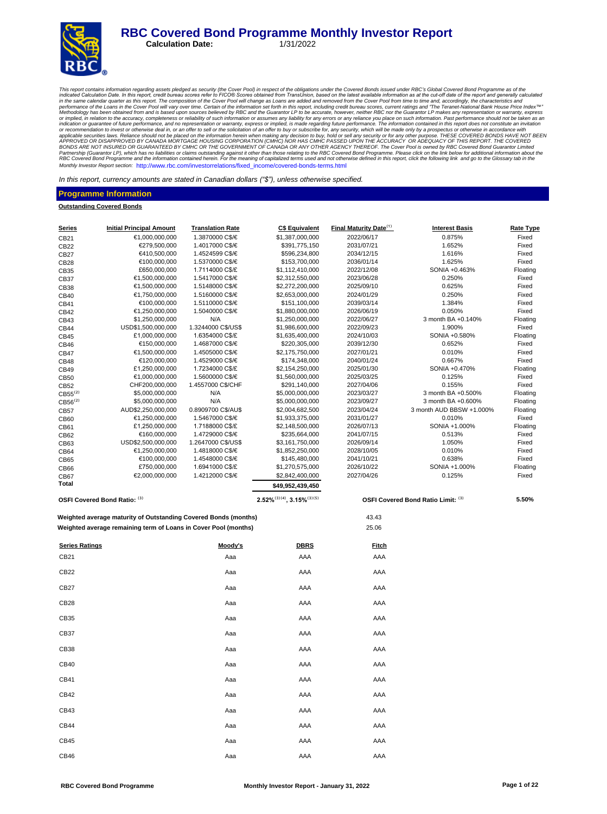#### **RBC Covered Bond Programme Monthly Investor Report**<br>Calculation Date: 1/31/2022 **Calculation Date:**



This report contains information regarding assets pledged as security (the Cover Pool) in respect of the obligations under the Covered Bond issued in of the Cover and the cut-off date of the report and generally calculated Partnership (Guarantor LP), which has no liabilities or claims outstanding against it other than those relating to the RBC Covered Bond Programme. Please click on the link below for additional information about the<br>RBC Cov Monthly Investor Report section: http://www.rbc.com/investorrelations/fixed\_income/covered-bonds-terms.html

In this report, currency amounts are stated in Canadian dollars *("\$"),* unless otherwise specified.

#### **Programme Information**

**Outstanding Covered Bonds**

| <b>Series</b>         | <b>Initial Principal Amount</b>                                 | <b>Translation Rate</b>               | <b>C\$ Equivalent</b>                 | Final Maturity Date <sup>(1)</sup> | <b>Interest Basis</b>              | Rate Type         |
|-----------------------|-----------------------------------------------------------------|---------------------------------------|---------------------------------------|------------------------------------|------------------------------------|-------------------|
| CB21                  | €1.000.000.000                                                  | 1.3870000 C\$/€                       | \$1,387,000,000                       | 2022/06/17                         | 0.875%                             | Fixed             |
| CB22                  | €279,500,000                                                    | 1.4017000 C\$/€                       | \$391,775,150                         | 2031/07/21                         | 1.652%                             | Fixed             |
| <b>CB27</b>           | €410,500,000                                                    | 1.4524599 C\$/€                       | \$596,234,800                         | 2034/12/15                         | 1.616%                             | Fixed             |
| CB28                  | €100,000,000                                                    | 1.5370000 C\$/€                       | \$153,700,000                         | 2036/01/14                         | 1.625%                             | Fixed             |
| CB35                  | £650,000,000                                                    | 1.7114000 C\$/£                       | \$1,112,410,000                       | 2022/12/08                         | SONIA +0.463%                      | Floating          |
| <b>CB37</b>           | €1,500,000,000                                                  | 1.5417000 C\$/€                       | \$2,312,550,000                       | 2023/06/28                         | 0.250%                             | Fixed             |
| <b>CB38</b>           | €1,500,000,000                                                  | 1.5148000 C\$/€                       | \$2,272,200,000                       | 2025/09/10                         | 0.625%                             | Fixed             |
| CB40                  | €1,750,000,000                                                  | 1.5160000 C\$/€                       | \$2,653,000,000                       | 2024/01/29                         | 0.250%                             | Fixed             |
| CB41                  | €100,000,000                                                    | 1.5110000 C\$/€                       | \$151,100,000                         | 2039/03/14                         | 1.384%                             | Fixed             |
| CB42                  | €1,250,000,000                                                  | 1.5040000 C\$/€                       | \$1,880,000,000                       | 2026/06/19                         | 0.050%                             | Fixed             |
| CB43                  | \$1,250,000,000                                                 | N/A                                   | \$1,250,000,000                       | 2022/06/27                         | 3 month BA +0.140%                 | Floating          |
| <b>CB44</b>           | USD\$1,500,000,000<br>£1,000,000,000                            | 1.3244000 C\$/US\$<br>1.6354000 C\$/£ | \$1,986,600,000<br>\$1,635,400,000    | 2022/09/23<br>2024/10/03           | 1.900%<br>SONIA +0.580%            | Fixed<br>Floating |
| CB45<br>CB46          | €150,000,000                                                    | 1.4687000 C\$/€                       | \$220,305,000                         | 2039/12/30                         | 0.652%                             | Fixed             |
| <b>CB47</b>           | €1,500,000,000                                                  | 1.4505000 C\$/€                       | \$2,175,750,000                       | 2027/01/21                         | 0.010%                             | Fixed             |
| <b>CB48</b>           | €120,000,000                                                    | 1.4529000 C\$/€                       | \$174,348,000                         | 2040/01/24                         | 0.667%                             | Fixed             |
| CB49                  | £1,250,000,000                                                  | 1.7234000 C\$/£                       | \$2,154,250,000                       | 2025/01/30                         | SONIA +0.470%                      | Floating          |
| CB50                  | €1,000,000,000                                                  | 1.5600000 C\$/€                       | \$1,560,000,000                       | 2025/03/25                         | 0.125%                             | Fixed             |
| CB52                  | CHF200,000,000                                                  | 1.4557000 C\$/CHF                     | \$291,140,000                         | 2027/04/06                         | 0.155%                             | Fixed             |
| $CB55^{(2)}$          | \$5,000,000,000                                                 | N/A                                   | \$5,000,000,000                       | 2023/03/27                         | 3 month BA +0.500%                 | Floating          |
| $CB56^{(2)}$          | \$5,000,000,000                                                 | N/A                                   | \$5,000,000,000                       | 2023/09/27                         | 3 month BA +0.600%                 | Floating          |
| <b>CB57</b>           | AUD\$2,250,000,000                                              | 0.8909700 C\$/AU\$                    | \$2,004,682,500                       | 2023/04/24                         | 3 month AUD BBSW +1.000%           | Floating          |
| CB60                  | €1,250,000,000                                                  | 1.5467000 C\$/€                       | \$1,933,375,000                       | 2031/01/27                         | 0.010%                             | Fixed             |
| CB61                  | £1,250,000,000                                                  | 1.7188000 C\$/£                       | \$2,148,500,000                       | 2026/07/13                         | SONIA +1.000%                      | Floating          |
| CB62                  | €160,000,000                                                    | 1.4729000 C\$/€                       | \$235,664,000                         | 2041/07/15                         | 0.513%                             | Fixed             |
| CB63                  | USD\$2,500,000,000                                              | 1.2647000 C\$/US\$                    | \$3,161,750,000                       | 2026/09/14                         | 1.050%                             | Fixed             |
| CB64                  | €1,250,000,000                                                  | 1.4818000 C\$/€                       | \$1,852,250,000                       | 2028/10/05                         | 0.010%                             | Fixed             |
| CB65                  | €100,000,000                                                    | 1.4548000 C\$/€                       | \$145,480,000                         | 2041/10/21                         | 0.638%                             | Fixed             |
| CB66                  | £750,000,000                                                    | 1.6941000 C\$/£                       | \$1,270,575,000                       | 2026/10/22                         | SONIA +1.000%                      | Floating          |
| <b>CB67</b><br>Total  | €2,000,000,000                                                  | 1.4212000 C\$/€                       | \$2,842,400,000                       | 2027/04/26                         | 0.125%                             | Fixed             |
|                       |                                                                 |                                       | \$49,952,439,450                      |                                    |                                    |                   |
|                       | OSFI Covered Bond Ratio: (3)                                    |                                       | $2.52\%^{(3)(4)}$ , $3.15\%^{(3)(5)}$ |                                    | OSFI Covered Bond Ratio Limit: (3) | 5.50%             |
|                       | Weighted average maturity of Outstanding Covered Bonds (months) |                                       |                                       | 43.43                              |                                    |                   |
|                       | Weighted average remaining term of Loans in Cover Pool (months) |                                       |                                       | 25.06                              |                                    |                   |
| <b>Series Ratings</b> |                                                                 | Moody's                               | <b>DBRS</b>                           | <b>Fitch</b>                       |                                    |                   |
| CB21                  |                                                                 | Aaa                                   | AAA                                   | AAA                                |                                    |                   |
| CB22                  |                                                                 | Aaa                                   | AAA                                   | AAA                                |                                    |                   |
| CB27                  |                                                                 | Aaa                                   | AAA                                   | AAA                                |                                    |                   |
| CB <sub>28</sub>      |                                                                 | Aaa                                   | AAA                                   | AAA                                |                                    |                   |
| CB35                  |                                                                 | Aaa                                   | AAA                                   | AAA                                |                                    |                   |
| CB37                  |                                                                 | Aaa                                   | AAA                                   | AAA                                |                                    |                   |
| CB38                  |                                                                 | Aaa                                   | AAA                                   | AAA                                |                                    |                   |
| CB40                  |                                                                 | Aaa                                   | AAA                                   | AAA                                |                                    |                   |
| CB41                  |                                                                 | Aaa                                   | AAA                                   | AAA                                |                                    |                   |
| CB42                  |                                                                 | Aaa                                   | AAA                                   | AAA                                |                                    |                   |
| CB43                  |                                                                 | Aaa                                   | AAA                                   | AAA                                |                                    |                   |
| CB44                  |                                                                 | Aaa                                   | AAA                                   | AAA                                |                                    |                   |
| CB45                  |                                                                 | Aaa                                   | AAA                                   | AAA                                |                                    |                   |
| CB46                  |                                                                 | Aaa                                   | AAA                                   | AAA                                |                                    |                   |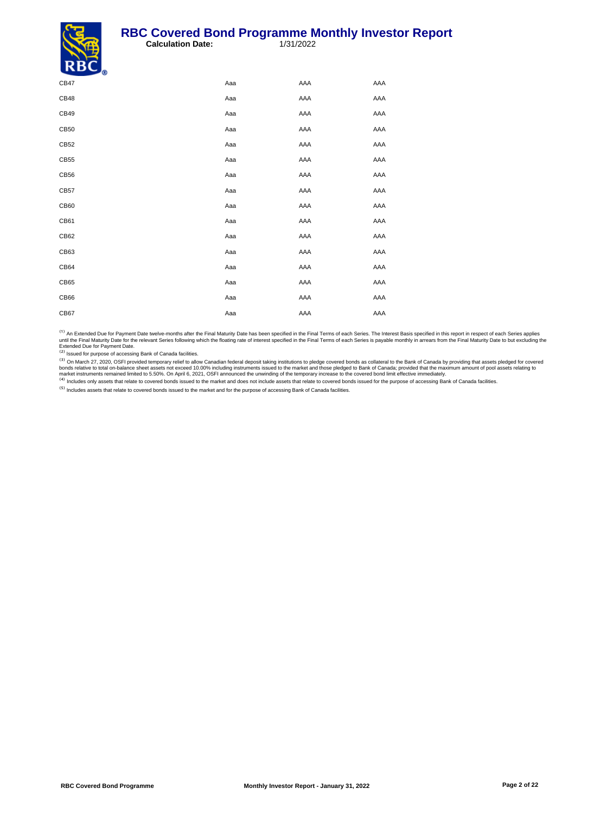#### **RBC Covered Bond Programme Monthly Investor Report**<br>Calculation Date: 1/31/2022 **Calculation Date:**



| - 9  |     |     |     |
|------|-----|-----|-----|
| CB47 | Aaa | AAA | AAA |
| CB48 | Aaa | AAA | AAA |
| CB49 | Aaa | AAA | AAA |
| CB50 | Aaa | AAA | AAA |
| CB52 | Aaa | AAA | AAA |
| CB55 | Aaa | AAA | AAA |
| CB56 | Aaa | AAA | AAA |
| CB57 | Aaa | AAA | AAA |
| CB60 | Aaa | AAA | AAA |
| CB61 | Aaa | AAA | AAA |
| CB62 | Aaa | AAA | AAA |
| CB63 | Aaa | AAA | AAA |
| CB64 | Aaa | AAA | AAA |
| CB65 | Aaa | AAA | AAA |
| CB66 | Aaa | AAA | AAA |
| CB67 | Aaa | AAA | AAA |

<sup>(1)</sup> An Extended Due for Payment Date twelve-months after the Final Maturity Date has been specified in the Final Terms of each Series. The Interest Basis specified in this report in respect of each Series applies<br>until t

<sup>(2)</sup> Issued for purpose of accessing Bank of Canada facilities.

<sup>(3)</sup> On March 27, 2020, OSFI provided temporary relief to allow Canadian federal deposit taking institutions to pledge covered bonds as collateral to the Bank of Canada by providing that assets pledged for covered bords r

Includes assets that relate to covered bonds issued to the market and for the purpose of accessing Bank of Canada facilities.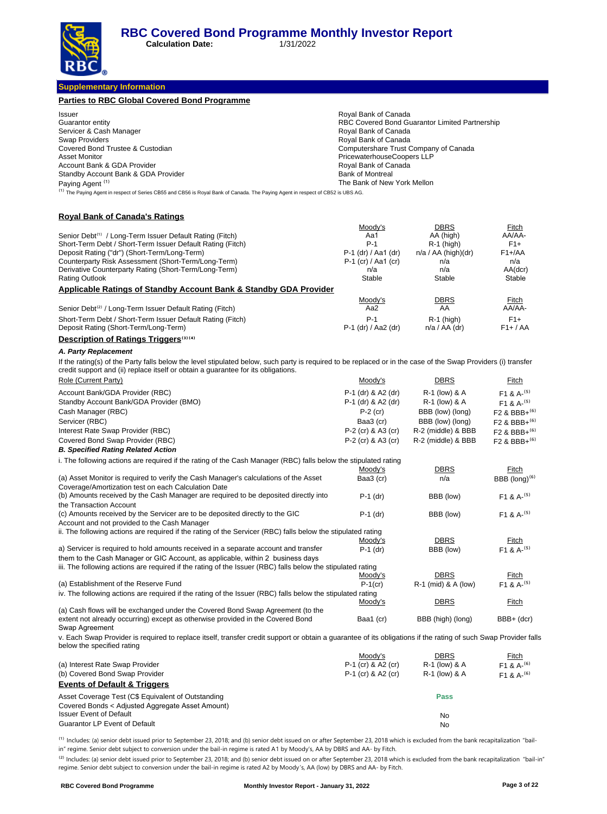**Calculation Date:** 1/31/2022

**Supplementary Information**

| <b>Parties to RBC Global Covered Bond Programme</b>                                                                                                                                                                                                |                                                                     |                                                |                                      |
|----------------------------------------------------------------------------------------------------------------------------------------------------------------------------------------------------------------------------------------------------|---------------------------------------------------------------------|------------------------------------------------|--------------------------------------|
| Issuer                                                                                                                                                                                                                                             | Royal Bank of Canada                                                |                                                |                                      |
| Guarantor entity                                                                                                                                                                                                                                   |                                                                     | RBC Covered Bond Guarantor Limited Partnership |                                      |
| Servicer & Cash Manager                                                                                                                                                                                                                            | Royal Bank of Canada                                                |                                                |                                      |
| Swap Providers                                                                                                                                                                                                                                     | Royal Bank of Canada                                                |                                                |                                      |
| Covered Bond Trustee & Custodian<br><b>Asset Monitor</b>                                                                                                                                                                                           | Computershare Trust Company of Canada<br>PricewaterhouseCoopers LLP |                                                |                                      |
| Account Bank & GDA Provider                                                                                                                                                                                                                        | Royal Bank of Canada                                                |                                                |                                      |
| Standby Account Bank & GDA Provider                                                                                                                                                                                                                | <b>Bank of Montreal</b>                                             |                                                |                                      |
| Paying Agent <sup>(1)</sup>                                                                                                                                                                                                                        | The Bank of New York Mellon                                         |                                                |                                      |
| <sup>(1)</sup> The Paying Agent in respect of Series CB55 and CB56 is Royal Bank of Canada. The Paying Agent in respect of CB52 is UBS AG.                                                                                                         |                                                                     |                                                |                                      |
| <b>Royal Bank of Canada's Ratings</b>                                                                                                                                                                                                              |                                                                     |                                                |                                      |
|                                                                                                                                                                                                                                                    | Moody's                                                             | <b>DBRS</b>                                    | Fitch                                |
| Senior Debt <sup>(1)</sup> / Long-Term Issuer Default Rating (Fitch)                                                                                                                                                                               | Aa1                                                                 | AA (high)                                      | AA/AA-                               |
| Short-Term Debt / Short-Term Issuer Default Rating (Fitch)                                                                                                                                                                                         | $P-1$                                                               | $R-1$ (high)                                   | $F1+$                                |
| Deposit Rating ("dr") (Short-Term/Long-Term)<br>Counterparty Risk Assessment (Short-Term/Long-Term)                                                                                                                                                | P-1 (dr) / Aa1 (dr)<br>P-1 (cr) / Aa1 (cr)                          | $n/a / AA$ (high)(dr)<br>n/a                   | $F1 + A$<br>n/a                      |
| Derivative Counterparty Rating (Short-Term/Long-Term)                                                                                                                                                                                              | n/a                                                                 | n/a                                            | AA(dcr)                              |
| <b>Rating Outlook</b>                                                                                                                                                                                                                              | Stable                                                              | Stable                                         | Stable                               |
| <b>Applicable Ratings of Standby Account Bank &amp; Standby GDA Provider</b>                                                                                                                                                                       |                                                                     |                                                |                                      |
|                                                                                                                                                                                                                                                    | Moody's                                                             | <b>DBRS</b>                                    | <b>Fitch</b>                         |
| Senior Debt <sup>(2)</sup> / Long-Term Issuer Default Rating (Fitch)                                                                                                                                                                               | Aa2                                                                 | AA                                             | AA/AA-                               |
| Short-Term Debt / Short-Term Issuer Default Rating (Fitch)                                                                                                                                                                                         | P-1                                                                 | $R-1$ (high)                                   | $F1+$                                |
| Deposit Rating (Short-Term/Long-Term)                                                                                                                                                                                                              | P-1 (dr) / Aa2 (dr)                                                 | $n/a / AA$ (dr)                                | $F1+ / AA$                           |
| <b>Description of Ratings Triggers</b> <sup>(3)(4)</sup>                                                                                                                                                                                           |                                                                     |                                                |                                      |
| A. Party Replacement                                                                                                                                                                                                                               |                                                                     |                                                |                                      |
|                                                                                                                                                                                                                                                    |                                                                     |                                                |                                      |
| If the rating(s) of the Party falls below the level stipulated below, such party is required to be replaced or in the case of the Swap Providers (i) transfer<br>credit support and (ii) replace itself or obtain a guarantee for its obligations. |                                                                     |                                                |                                      |
| Role (Current Party)                                                                                                                                                                                                                               | <u>Moody's</u>                                                      | <b>DBRS</b>                                    | <b>Fitch</b>                         |
| Account Bank/GDA Provider (RBC)                                                                                                                                                                                                                    | P-1 (dr) & A2 (dr)                                                  | R-1 (low) & A                                  | F <sub>1</sub> & A- $(5)$            |
| Standby Account Bank/GDA Provider (BMO)                                                                                                                                                                                                            | P-1 (dr) & A2 (dr)                                                  | R-1 (low) & A                                  | $F1 & A-(5)$                         |
| Cash Manager (RBC)                                                                                                                                                                                                                                 | $P-2$ (cr)                                                          | BBB (low) (long)                               | F <sub>2</sub> & BBB+ <sup>(6)</sup> |
| Servicer (RBC)                                                                                                                                                                                                                                     | Baa3 (cr)                                                           | BBB (low) (long)                               | F <sub>2</sub> & BBB+ <sup>(6)</sup> |
| Interest Rate Swap Provider (RBC)                                                                                                                                                                                                                  | P-2 (cr) & A3 (cr)                                                  | R-2 (middle) & BBB                             | $F2$ & BBB+ <sup>(6)</sup>           |
| Covered Bond Swap Provider (RBC)                                                                                                                                                                                                                   | P-2 (cr) & A3 (cr)                                                  | R-2 (middle) & BBB                             | F2 & BBB+ <sup>(6)</sup>             |
| <b>B. Specified Rating Related Action</b>                                                                                                                                                                                                          |                                                                     |                                                |                                      |
| i. The following actions are required if the rating of the Cash Manager (RBC) falls below the stipulated rating                                                                                                                                    |                                                                     |                                                |                                      |
| (a) Asset Monitor is required to verify the Cash Manager's calculations of the Asset                                                                                                                                                               | Moody's                                                             | <b>DBRS</b>                                    | Fitch                                |
| Coverage/Amortization test on each Calculation Date                                                                                                                                                                                                | Baa3 (cr)                                                           | n/a                                            | BBB (long) $(6)$                     |
| (b) Amounts received by the Cash Manager are required to be deposited directly into                                                                                                                                                                | $P-1$ (dr)                                                          | BBB (low)                                      | F <sub>1</sub> & A <sup>-(5)</sup>   |
| the Transaction Account                                                                                                                                                                                                                            |                                                                     |                                                |                                      |
| (c) Amounts received by the Servicer are to be deposited directly to the GIC                                                                                                                                                                       | $P-1$ (dr)                                                          | BBB (low)                                      | $F1 & A-(5)$                         |
| Account and not provided to the Cash Manager                                                                                                                                                                                                       |                                                                     |                                                |                                      |
| ii. The following actions are required if the rating of the Servicer (RBC) falls below the stipulated rating                                                                                                                                       | Moody's                                                             | <b>DBRS</b>                                    |                                      |
| a) Servicer is required to hold amounts received in a separate account and transfer                                                                                                                                                                | $P-1$ (dr)                                                          | BBB (low)                                      | Fitch<br>$F1 & A-(5)$                |
| them to the Cash Manager or GIC Account, as applicable, within 2 business days                                                                                                                                                                     |                                                                     |                                                |                                      |
| iii. The following actions are required if the rating of the Issuer (RBC) falls below the stipulated rating                                                                                                                                        |                                                                     |                                                |                                      |
|                                                                                                                                                                                                                                                    | Moody's                                                             | <b>DBRS</b>                                    | Fitch                                |
| (a) Establishment of the Reserve Fund                                                                                                                                                                                                              | $P-1$ (cr)                                                          | R-1 (mid) & A (low)                            | $F1 & A-(5)$                         |
| iv. The following actions are required if the rating of the Issuer (RBC) falls below the stipulated rating                                                                                                                                         |                                                                     |                                                |                                      |
|                                                                                                                                                                                                                                                    | Moody's                                                             | <b>DBRS</b>                                    | <u>Fitch</u>                         |
| (a) Cash flows will be exchanged under the Covered Bond Swap Agreement (to the<br>extent not already occurring) except as otherwise provided in the Covered Bond                                                                                   | Baa1 (cr)                                                           | BBB (high) (long)                              | BBB+ (dcr)                           |
| Swap Agreement                                                                                                                                                                                                                                     |                                                                     |                                                |                                      |
| v. Each Swap Provider is required to replace itself, transfer credit support or obtain a guarantee of its obligations if the rating of such Swap Provider falls<br>below the specified rating                                                      |                                                                     |                                                |                                      |
|                                                                                                                                                                                                                                                    | Moody's                                                             | DBRS                                           | <u>Fitch</u>                         |
| (a) Interest Rate Swap Provider                                                                                                                                                                                                                    | P-1 (cr) & A2 (cr)                                                  | R-1 (low) & A                                  | F <sub>1</sub> & A- <sup>(6)</sup>   |
| (b) Covered Bond Swap Provider                                                                                                                                                                                                                     | P-1 (cr) & A2 (cr)                                                  | R-1 (low) & A                                  | F <sub>1</sub> & A- <sup>(6)</sup>   |
| <b>Events of Default &amp; Triggers</b>                                                                                                                                                                                                            |                                                                     |                                                |                                      |
| Asset Coverage Test (C\$ Equivalent of Outstanding                                                                                                                                                                                                 |                                                                     | Pass                                           |                                      |
| Covered Bonds < Adjusted Aggregate Asset Amount)                                                                                                                                                                                                   |                                                                     |                                                |                                      |
| <b>Issuer Event of Default</b><br>Guarantor LP Event of Default                                                                                                                                                                                    |                                                                     | No                                             |                                      |
|                                                                                                                                                                                                                                                    |                                                                     | No                                             |                                      |
|                                                                                                                                                                                                                                                    |                                                                     |                                                |                                      |

<sup>(1)</sup> Includes: (a) senior debt issued prior to September 23, 2018; and (b) senior debt issued on or after September 23, 2018 which is excluded from the bank recapitalization "bailin" regime. Senior debt subject to conversion under the bail-in regime is rated A1 by Moody's, AA by DBRS and AA- by Fitch.

<sup>(2)</sup> Includes: (a) senior debt issued prior to September 23, 2018; and (b) senior debt issued on or after September 23, 2018 which is excluded from the bank recapitalization "bail-in" regime. Senior debt subject to conversion under the bail-in regime is rated A2 by Moody 's, AA (low) by DBRS and AA- by Fitch.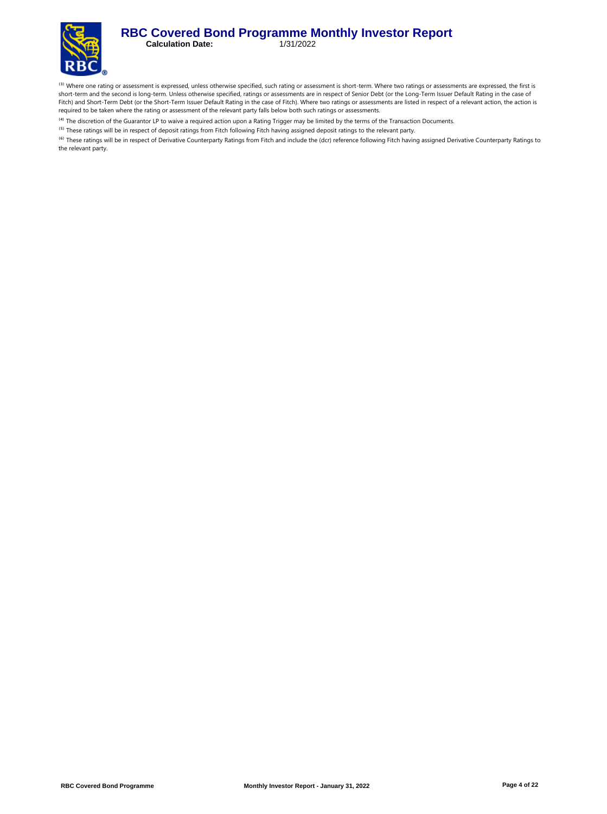#### **RBC Covered Bond Programme Monthly Investor Report**<br>Calculation Date: 1/31/2022 **Calculation Date:**



<sup>(3)</sup> Where one rating or assessment is expressed, unless otherwise specified, such rating or assessment is short-term. Where two ratings or assessments are expressed, the first is short-term and the second is long-term. Unless otherwise specified, ratings or assessments are in respect of Senior Debt (or the Long-Term Issuer Default Rating in the case of Fitch) and Short-Term Debt (or the Short-Term Issuer Default Rating in the case of Fitch). Where two ratings or assessments are listed in respect of a relevant action, the action is required to be taken where the rating or assessment of the relevant party falls below both such ratings or assessments.

<sup>(4)</sup> The discretion of the Guarantor LP to waive a required action upon a Rating Trigger may be limited by the terms of the Transaction Documents.

<sup>(5)</sup> These ratings will be in respect of deposit ratings from Fitch following Fitch having assigned deposit ratings to the relevant party.

<sup>(6)</sup> These ratings will be in respect of Derivative Counterparty Ratings from Fitch and include the (dcr) reference following Fitch having assigned Derivative Counterparty Ratings to the relevant party.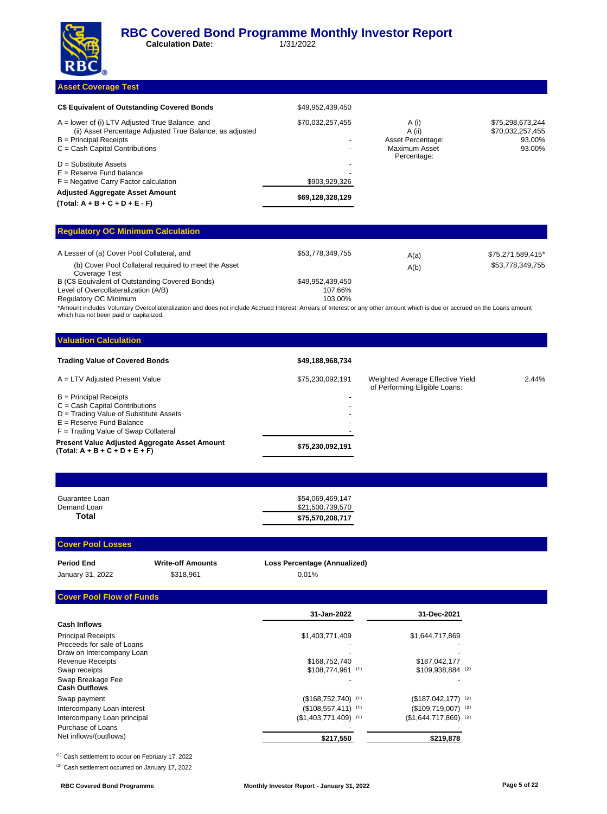

**Calculation Date:** 1/31/2022

#### **Asset Coverage Test**

| C\$ Equivalent of Outstanding Covered Bonds                                                                                               | \$49.952.439.450 |                                      |                                                |
|-------------------------------------------------------------------------------------------------------------------------------------------|------------------|--------------------------------------|------------------------------------------------|
| $A =$ lower of (i) LTV Adjusted True Balance, and<br>(ii) Asset Percentage Adjusted True Balance, as adjusted<br>$B =$ Principal Receipts | \$70,032,257,455 | A (i)<br>A (ii)<br>Asset Percentage: | \$75,298,673,244<br>\$70,032,257,455<br>93.00% |
| $C = Cash$ Capital Contributions                                                                                                          |                  | Maximum Asset<br>Percentage:         | 93.00%                                         |
| $D =$ Substitute Assets                                                                                                                   |                  |                                      |                                                |
| $E =$ Reserve Fund balance                                                                                                                |                  |                                      |                                                |
| $F =$ Negative Carry Factor calculation                                                                                                   | \$903,929,326    |                                      |                                                |
| <b>Adjusted Aggregate Asset Amount</b><br>$(Total: A + B + C + D + E - F)$                                                                | \$69,128,328,129 |                                      |                                                |

#### **Regulatory OC Minimum Calculation**

| A Lesser of (a) Cover Pool Collateral, and                            | \$53,778,349,755 | A(a) | \$75,271,589,415* |
|-----------------------------------------------------------------------|------------------|------|-------------------|
| (b) Cover Pool Collateral required to meet the Asset<br>Coverage Test |                  | A(b) | \$53,778,349,755  |
| B (C\$ Equivalent of Outstanding Covered Bonds)                       | \$49.952.439.450 |      |                   |
| Level of Overcollateralization (A/B)                                  | 107.66%          |      |                   |
| Regulatory OC Minimum                                                 | 103.00%          |      |                   |

\*Amount includes Voluntary Overcollateralization and does not include Accrued Interest, Arrears of Interest or any other amount which is due or accrued on the Loans amount which has not been paid or capitalized.

#### **Valuation Calculation**

| <b>Trading Value of Covered Bonds</b>                                                                                                                                          | \$49,188,968,734 |                                                                   |       |
|--------------------------------------------------------------------------------------------------------------------------------------------------------------------------------|------------------|-------------------------------------------------------------------|-------|
| A = LTV Adjusted Present Value                                                                                                                                                 | \$75,230,092,191 | Weighted Average Effective Yield<br>of Performing Eligible Loans: | 2.44% |
| $B =$ Principal Receipts<br>$C = Cash$ Capital Contributions<br>D = Trading Value of Substitute Assets<br>$E =$ Reserve Fund Balance<br>$F =$ Trading Value of Swap Collateral | <b>-</b>         |                                                                   |       |
| <b>Present Value Adjusted Aggregate Asset Amount</b><br>$(Total: A + B + C + D + E + F)$                                                                                       | \$75,230,092,191 |                                                                   |       |

| Guarantee Loan | \$54.069.469.147 |
|----------------|------------------|
| Demand Loan    | \$21,500,739,570 |
| Total          | \$75,570,208,717 |

**Cover Pool Losses**

| Period End       | <b>Write-off Amounts</b> | <b>Loss Percentage (Annualized)</b> |
|------------------|--------------------------|-------------------------------------|
| January 31, 2022 | \$318.961                | 0.01%                               |

### **Cover Pool Flow of Funds**

|                             | 31-Jan-2022                       | 31-Dec-2021                       |
|-----------------------------|-----------------------------------|-----------------------------------|
| <b>Cash Inflows</b>         |                                   |                                   |
| <b>Principal Receipts</b>   | \$1,403,771,409                   | \$1,644,717,869                   |
| Proceeds for sale of Loans  |                                   |                                   |
| Draw on Intercompany Loan   |                                   |                                   |
| <b>Revenue Receipts</b>     | \$168,752,740                     | \$187,042,177                     |
| Swap receipts               | \$108.774.961 (1)                 | $$109,938,884$ (2)                |
| Swap Breakage Fee           |                                   |                                   |
| <b>Cash Outflows</b>        |                                   |                                   |
| Swap payment                | $($168,752,740)$ (1)              | $($187,042,177)$ (2)              |
| Intercompany Loan interest  | $($108,557,411)$ (1)              | $($109,719,007)$ <sup>(2)</sup>   |
| Intercompany Loan principal | $($1,403,771,409)$ <sup>(1)</sup> | $($1,644,717,869)$ <sup>(2)</sup> |
| Purchase of Loans           |                                   |                                   |
| Net inflows/(outflows)      | \$217,550                         | \$219,878                         |

 $^{(1)}$  Cash settlement to occur on February 17, 2022

<sup>(2)</sup> Cash settlement occurred on January 17, 2022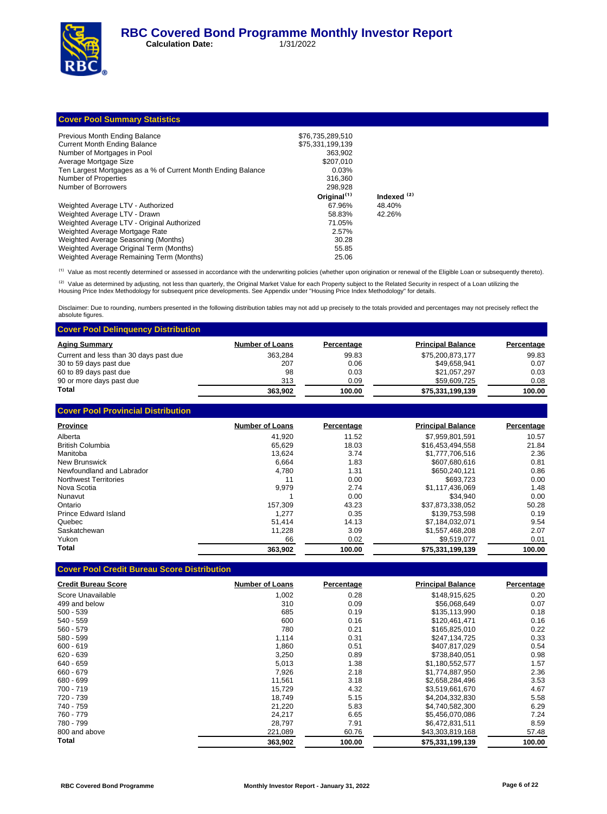

**Calculation Date:** 1/31/2022

## **Cover Pool Summary Statistics**

| Previous Month Ending Balance                                | \$76.735.289.510        |                        |
|--------------------------------------------------------------|-------------------------|------------------------|
| <b>Current Month Ending Balance</b>                          | \$75.331.199.139        |                        |
| Number of Mortgages in Pool                                  | 363.902                 |                        |
| Average Mortgage Size                                        | \$207.010               |                        |
| Ten Largest Mortgages as a % of Current Month Ending Balance | 0.03%                   |                        |
| Number of Properties                                         | 316.360                 |                        |
| Number of Borrowers                                          | 298.928                 |                        |
|                                                              | Original <sup>(1)</sup> | Indexed <sup>(2)</sup> |
| Weighted Average LTV - Authorized                            | 67.96%                  | 48.40%                 |
| Weighted Average LTV - Drawn                                 | 58.83%                  | 42.26%                 |
| Weighted Average LTV - Original Authorized                   | 71.05%                  |                        |
| Weighted Average Mortgage Rate                               | 2.57%                   |                        |
| Weighted Average Seasoning (Months)                          | 30.28                   |                        |
| Weighted Average Original Term (Months)                      | 55.85                   |                        |
| Weighted Average Remaining Term (Months)                     | 25.06                   |                        |

<sup>(1)</sup> Value as most recently determined or assessed in accordance with the underwriting policies (whether upon origination or renewal of the Eligible Loan or subsequently thereto).

<sup>(2)</sup> Value as determined by adjusting, not less than quarterly, the Original Market Value for each Property subject to the Related Security in respect of a Loan utilizing the<br>Housing Price Index Methodology for subsequent

Disclaimer: Due to rounding, numbers presented in the following distribution tables may not add up precisely to the totals provided and percentages may not precisely reflect the absolute figures.

| <b>Cover Pool Delinguency Distribution</b> |                        |            |                          |            |  |  |
|--------------------------------------------|------------------------|------------|--------------------------|------------|--|--|
| <b>Aging Summary</b>                       | <b>Number of Loans</b> | Percentage | <b>Principal Balance</b> | Percentage |  |  |
| Current and less than 30 days past due     | 363.284                | 99.83      | \$75,200,873,177         | 99.83      |  |  |
| 30 to 59 days past due                     | 207                    | 0.06       | \$49.658.941             | 0.07       |  |  |
| 60 to 89 days past due                     | 98                     | 0.03       | \$21,057,297             | 0.03       |  |  |
| 90 or more days past due                   | 313                    | 0.09       | \$59,609,725             | 0.08       |  |  |
| Total                                      | 363.902                | 100.00     | \$75,331,199,139         | 100.00     |  |  |

**Cover Pool Provincial Distribution**

| <b>Province</b>           | <b>Number of Loans</b> | Percentage | <b>Principal Balance</b> | Percentage |
|---------------------------|------------------------|------------|--------------------------|------------|
| Alberta                   | 41.920                 | 11.52      | \$7,959,801,591          | 10.57      |
| <b>British Columbia</b>   | 65.629                 | 18.03      | \$16,453,494,558         | 21.84      |
| Manitoba                  | 13.624                 | 3.74       | \$1,777,706.516          | 2.36       |
| New Brunswick             | 6.664                  | 1.83       | \$607.680.616            | 0.81       |
| Newfoundland and Labrador | 4.780                  | 1.31       | \$650,240,121            | 0.86       |
| Northwest Territories     | 11                     | 0.00       | \$693.723                | 0.00       |
| Nova Scotia               | 9.979                  | 2.74       | \$1.117.436.069          | 1.48       |
| Nunavut                   |                        | 0.00       | \$34.940                 | 0.00       |
| Ontario                   | 157.309                | 43.23      | \$37,873,338,052         | 50.28      |
| Prince Edward Island      | 1.277                  | 0.35       | \$139.753.598            | 0.19       |
| Quebec                    | 51.414                 | 14.13      | \$7.184.032.071          | 9.54       |
| Saskatchewan              | 11.228                 | 3.09       | \$1,557,468,208          | 2.07       |
| Yukon                     | 66                     | 0.02       | \$9,519,077              | 0.01       |
| Total                     | 363.902                | 100.00     | \$75,331,199,139         | 100.00     |

### **Cover Pool Credit Bureau Score Distribution**

| <b>Credit Bureau Score</b> | <b>Number of Loans</b> | Percentage | <b>Principal Balance</b> | Percentage |
|----------------------------|------------------------|------------|--------------------------|------------|
| Score Unavailable          | 1,002                  | 0.28       | \$148,915,625            | 0.20       |
| 499 and below              | 310                    | 0.09       | \$56,068,649             | 0.07       |
| $500 - 539$                | 685                    | 0.19       | \$135,113,990            | 0.18       |
| 540 - 559                  | 600                    | 0.16       | \$120,461,471            | 0.16       |
| $560 - 579$                | 780                    | 0.21       | \$165,825,010            | 0.22       |
| 580 - 599                  | 1,114                  | 0.31       | \$247,134,725            | 0.33       |
| $600 - 619$                | 1.860                  | 0.51       | \$407,817,029            | 0.54       |
| $620 - 639$                | 3,250                  | 0.89       | \$738,840,051            | 0.98       |
| 640 - 659                  | 5,013                  | 1.38       | \$1,180,552,577          | 1.57       |
| 660 - 679                  | 7,926                  | 2.18       | \$1,774,887,950          | 2.36       |
| 680 - 699                  | 11,561                 | 3.18       | \$2,658,284,496          | 3.53       |
| 700 - 719                  | 15,729                 | 4.32       | \$3,519,661,670          | 4.67       |
| 720 - 739                  | 18.749                 | 5.15       | \$4,204,332,830          | 5.58       |
| 740 - 759                  | 21,220                 | 5.83       | \$4,740,582,300          | 6.29       |
| 760 - 779                  | 24,217                 | 6.65       | \$5,456,070,086          | 7.24       |
| 780 - 799                  | 28,797                 | 7.91       | \$6,472,831,511          | 8.59       |
| 800 and above              | 221,089                | 60.76      | \$43,303,819,168         | 57.48      |
| Total                      | 363,902                | 100.00     | \$75,331,199,139         | 100.00     |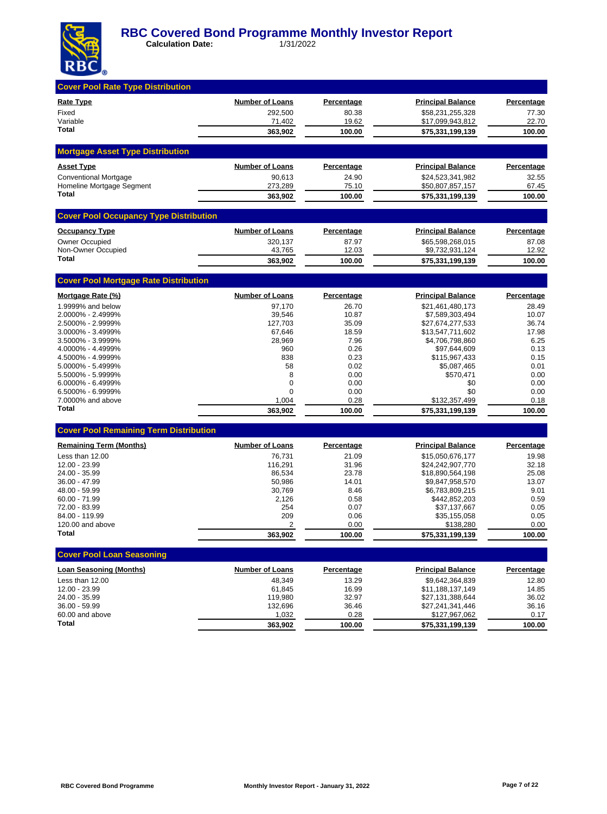

| <b>Cover Pool Rate Type Distribution</b>      |                        |                   |                                      |                   |
|-----------------------------------------------|------------------------|-------------------|--------------------------------------|-------------------|
| <b>Rate Type</b>                              | <b>Number of Loans</b> | Percentage        | <b>Principal Balance</b>             | Percentage        |
| Fixed                                         | 292,500                | 80.38             | \$58,231,255,328                     | 77.30             |
| Variable                                      | 71,402                 | 19.62             | \$17,099,943,812                     | 22.70             |
| Total                                         | 363,902                | 100.00            | \$75,331,199,139                     | 100.00            |
| <b>Mortgage Asset Type Distribution</b>       |                        |                   |                                      |                   |
| <b>Asset Type</b>                             | <b>Number of Loans</b> | Percentage        | <b>Principal Balance</b>             | Percentage        |
| <b>Conventional Mortgage</b>                  | 90,613                 | 24.90             | \$24,523,341,982                     | 32.55             |
| Homeline Mortgage Segment                     | 273,289                | 75.10             | \$50,807,857,157                     | 67.45             |
| Total                                         | 363,902                | 100.00            | \$75,331,199,139                     | 100.00            |
| <b>Cover Pool Occupancy Type Distribution</b> |                        |                   |                                      |                   |
| <b>Occupancy Type</b>                         | <b>Number of Loans</b> | <b>Percentage</b> | <b>Principal Balance</b>             | <b>Percentage</b> |
| <b>Owner Occupied</b>                         | 320,137                | 87.97             | \$65,598,268,015                     | 87.08             |
| Non-Owner Occupied<br>Total                   | 43,765<br>363,902      | 12.03<br>100.00   | \$9,732,931,124<br>\$75,331,199,139  | 12.92<br>100.00   |
|                                               |                        |                   |                                      |                   |
| <b>Cover Pool Mortgage Rate Distribution</b>  |                        |                   |                                      |                   |
| Mortgage Rate (%)                             | <b>Number of Loans</b> | <b>Percentage</b> | <b>Principal Balance</b>             | <b>Percentage</b> |
| 1.9999% and below                             | 97,170                 | 26.70             | \$21,461,480,173                     | 28.49             |
| 2.0000% - 2.4999%<br>2.5000% - 2.9999%        | 39,546<br>127,703      | 10.87<br>35.09    | \$7,589,303,494<br>\$27,674,277,533  | 10.07<br>36.74    |
| 3.0000% - 3.4999%                             | 67,646                 | 18.59             | \$13,547,711,602                     | 17.98             |
| 3.5000% - 3.9999%                             | 28,969                 | 7.96              | \$4,706,798,860                      | 6.25              |
| 4.0000% - 4.4999%                             | 960                    | 0.26              | \$97,644,609                         | 0.13              |
| 4.5000% - 4.9999%                             | 838                    | 0.23              | \$115,967,433                        | 0.15              |
| 5.0000% - 5.4999%                             | 58                     | 0.02              | \$5,087,465                          | 0.01              |
| 5.5000% - 5.9999%<br>6.0000% - 6.4999%        | 8<br>$\mathbf 0$       | 0.00<br>0.00      | \$570,471<br>\$0                     | 0.00<br>0.00      |
| 6.5000% - 6.9999%                             | $\mathbf 0$            | 0.00              | \$0                                  | 0.00              |
| 7.0000% and above                             | 1,004                  | 0.28              | \$132,357,499                        | 0.18              |
| <b>Total</b>                                  | 363,902                | 100.00            | \$75,331,199,139                     | 100.00            |
| <b>Cover Pool Remaining Term Distribution</b> |                        |                   |                                      |                   |
| <b>Remaining Term (Months)</b>                | <b>Number of Loans</b> | Percentage        | <b>Principal Balance</b>             | Percentage        |
| Less than 12.00                               | 76,731                 | 21.09             | \$15,050,676,177                     | 19.98             |
| 12.00 - 23.99                                 | 116,291                | 31.96             | \$24,242,907,770                     | 32.18             |
| 24.00 - 35.99                                 | 86,534                 | 23.78             | \$18,890,564,198                     | 25.08             |
| 36.00 - 47.99<br>48.00 - 59.99                | 50,986<br>30,769       | 14.01<br>8.46     | \$9,847,958,570<br>\$6,783,809,215   | 13.07<br>9.01     |
| $60.00 - 71.99$                               | 2,126                  | 0.58              | \$442,852,203                        | 0.59              |
| 72.00 - 83.99                                 | 254                    | 0.07              | \$37,137,667                         | 0.05              |
| 84.00 - 119.99                                | 209                    | 0.06              | \$35,155,058                         | 0.05              |
| 120.00 and above                              | 2                      | 0.00              | \$138,280                            | 0.00              |
| Total                                         | 363,902                | 100.00            | \$75,331,199,139                     | 100.00            |
| <b>Cover Pool Loan Seasoning</b>              |                        |                   |                                      |                   |
| <b>Loan Seasoning (Months)</b>                | <b>Number of Loans</b> | <b>Percentage</b> | <b>Principal Balance</b>             | Percentage        |
| Less than 12.00                               | 48,349                 | 13.29             | \$9,642,364,839                      | 12.80             |
| 12.00 - 23.99                                 | 61,845                 | 16.99             | \$11,188,137,149                     | 14.85             |
| 24.00 - 35.99<br>36.00 - 59.99                | 119,980<br>132,696     | 32.97<br>36.46    | \$27,131,388,644<br>\$27,241,341,446 | 36.02<br>36.16    |
| 60.00 and above                               | 1,032                  | 0.28              | \$127,967,062                        | 0.17              |
| Total                                         | 363,902                | 100.00            | \$75,331,199,139                     | 100.00            |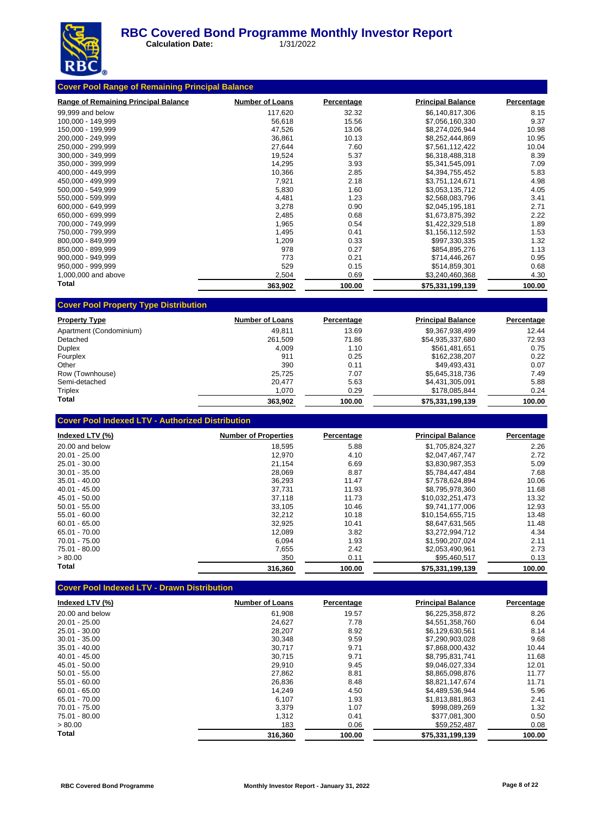

 **Calculation Date:** 1/31/2022

| <b>Range of Remaining Principal Balance</b> | <b>Number of Loans</b> | Percentage | <b>Principal Balance</b> | Percentage |
|---------------------------------------------|------------------------|------------|--------------------------|------------|
| 99,999 and below                            | 117,620                | 32.32      | \$6,140,817,306          | 8.15       |
| 100,000 - 149,999                           | 56,618                 | 15.56      | \$7,056,160,330          | 9.37       |
| 150,000 - 199,999                           | 47,526                 | 13.06      | \$8,274,026,944          | 10.98      |
| 200.000 - 249.999                           | 36,861                 | 10.13      | \$8,252,444,869          | 10.95      |
| 250.000 - 299.999                           | 27,644                 | 7.60       | \$7,561,112,422          | 10.04      |
| 300,000 - 349,999                           | 19,524                 | 5.37       | \$6,318,488,318          | 8.39       |
| 350.000 - 399.999                           | 14,295                 | 3.93       | \$5,341,545,091          | 7.09       |
| 400,000 - 449,999                           | 10,366                 | 2.85       | \$4,394,755,452          | 5.83       |
| 450.000 - 499.999                           | 7,921                  | 2.18       | \$3,751,124,671          | 4.98       |
| 500,000 - 549,999                           | 5,830                  | 1.60       | \$3,053,135,712          | 4.05       |
| 550,000 - 599,999                           | 4,481                  | 1.23       | \$2,568,083,796          | 3.41       |
| 600.000 - 649.999                           | 3,278                  | 0.90       | \$2,045,195,181          | 2.71       |
| 650,000 - 699,999                           | 2,485                  | 0.68       | \$1,673,875,392          | 2.22       |
| 700,000 - 749,999                           | 1,965                  | 0.54       | \$1,422,329,518          | 1.89       |
| 750,000 - 799,999                           | 1,495                  | 0.41       | \$1,156,112,592          | 1.53       |
| 800.000 - 849.999                           | 1,209                  | 0.33       | \$997,330,335            | 1.32       |
| 850,000 - 899,999                           | 978                    | 0.27       | \$854,895,276            | 1.13       |
| 900,000 - 949,999                           | 773                    | 0.21       | \$714,446,267            | 0.95       |
| 950.000 - 999.999                           | 529                    | 0.15       | \$514,859,301            | 0.68       |
| 1,000,000 and above                         | 2,504                  | 0.69       | \$3,240,460,368          | 4.30       |
| <b>Total</b>                                | 363,902                | 100.00     | \$75,331,199,139         | 100.00     |

| <b>Property Type</b>    | <b>Number of Loans</b> | Percentage | <b>Principal Balance</b> | Percentage |
|-------------------------|------------------------|------------|--------------------------|------------|
| Apartment (Condominium) | 49.811                 | 13.69      | \$9.367.938.499          | 12.44      |
| Detached                | 261.509                | 71.86      | \$54,935,337,680         | 72.93      |
| <b>Duplex</b>           | 4.009                  | 1.10       | \$561.481.651            | 0.75       |
| Fourplex                | 911                    | 0.25       | \$162.238.207            | 0.22       |
| Other                   | 390                    | 0.11       | \$49.493.431             | 0.07       |
| Row (Townhouse)         | 25.725                 | 7.07       | \$5.645.318.736          | 7.49       |
| Semi-detached           | 20.477                 | 5.63       | \$4,431,305,091          | 5.88       |
| Triplex                 | 1,070                  | 0.29       | \$178,085,844            | 0.24       |
| Total                   | 363,902                | 100.00     | \$75,331,199,139         | 100.00     |

| <b>Cover Pool Indexed LTV - Authorized Distribution</b> |  |
|---------------------------------------------------------|--|
|---------------------------------------------------------|--|

| Indexed LTV (%) | <b>Number of Properties</b> | Percentage | <b>Principal Balance</b> | Percentage |
|-----------------|-----------------------------|------------|--------------------------|------------|
| 20.00 and below | 18,595                      | 5.88       | \$1,705,824,327          | 2.26       |
| $20.01 - 25.00$ | 12.970                      | 4.10       | \$2.047.467.747          | 2.72       |
| 25.01 - 30.00   | 21.154                      | 6.69       | \$3,830,987,353          | 5.09       |
| $30.01 - 35.00$ | 28,069                      | 8.87       | \$5.784.447.484          | 7.68       |
| $35.01 - 40.00$ | 36,293                      | 11.47      | \$7,578,624,894          | 10.06      |
| $40.01 - 45.00$ | 37.731                      | 11.93      | \$8.795.978.360          | 11.68      |
| 45.01 - 50.00   | 37.118                      | 11.73      | \$10.032.251.473         | 13.32      |
| $50.01 - 55.00$ | 33.105                      | 10.46      | \$9.741.177.006          | 12.93      |
| $55.01 - 60.00$ | 32,212                      | 10.18      | \$10.154.655.715         | 13.48      |
| $60.01 - 65.00$ | 32,925                      | 10.41      | \$8,647,631,565          | 11.48      |
| 65.01 - 70.00   | 12,089                      | 3.82       | \$3,272,994,712          | 4.34       |
| $70.01 - 75.00$ | 6,094                       | 1.93       | \$1.590.207.024          | 2.11       |
| 75.01 - 80.00   | 7,655                       | 2.42       | \$2,053,490,961          | 2.73       |
| > 80.00         | 350                         | 0.11       | \$95,460,517             | 0.13       |
| Total           | 316,360                     | 100.00     | \$75,331,199,139         | 100.00     |

# **Cover Pool Indexed LTV - Drawn Distribution**

| Indexed LTV (%) | <b>Number of Loans</b> | Percentage | <b>Principal Balance</b> | Percentage |
|-----------------|------------------------|------------|--------------------------|------------|
| 20.00 and below | 61.908                 | 19.57      | \$6,225,358,872          | 8.26       |
| $20.01 - 25.00$ | 24,627                 | 7.78       | \$4,551,358,760          | 6.04       |
| 25.01 - 30.00   | 28,207                 | 8.92       | \$6,129,630,561          | 8.14       |
| $30.01 - 35.00$ | 30,348                 | 9.59       | \$7.290.903.028          | 9.68       |
| $35.01 - 40.00$ | 30,717                 | 9.71       | \$7.868.000.432          | 10.44      |
| $40.01 - 45.00$ | 30.715                 | 9.71       | \$8.795.831.741          | 11.68      |
| 45.01 - 50.00   | 29,910                 | 9.45       | \$9.046.027.334          | 12.01      |
| $50.01 - 55.00$ | 27,862                 | 8.81       | \$8.865.098.876          | 11.77      |
| $55.01 - 60.00$ | 26,836                 | 8.48       | \$8,821,147,674          | 11.71      |
| $60.01 - 65.00$ | 14,249                 | 4.50       | \$4,489,536,944          | 5.96       |
| 65.01 - 70.00   | 6.107                  | 1.93       | \$1.813.881.863          | 2.41       |
| 70.01 - 75.00   | 3,379                  | 1.07       | \$998,089,269            | 1.32       |
| 75.01 - 80.00   | 1,312                  | 0.41       | \$377.081.300            | 0.50       |
| > 80.00         | 183                    | 0.06       | \$59,252,487             | 0.08       |
| Total           | 316.360                | 100.00     | \$75,331,199,139         | 100.00     |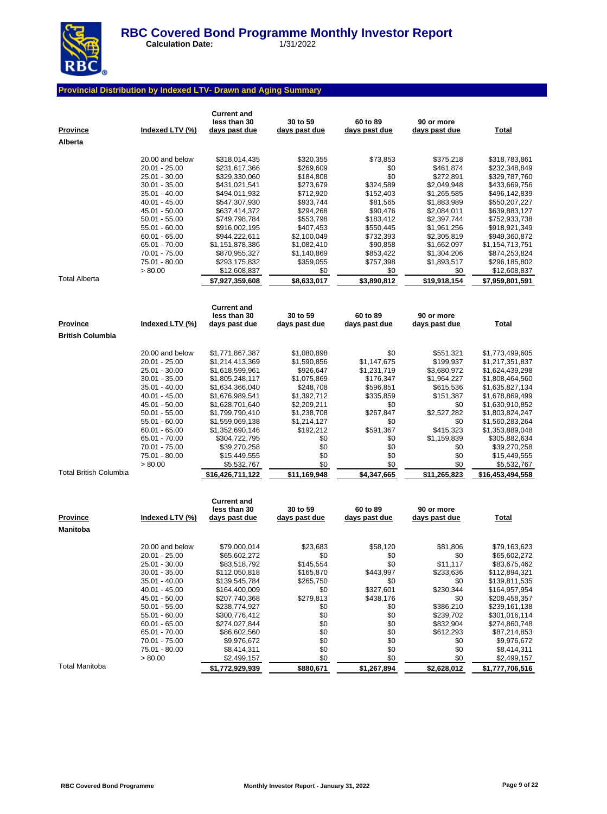

 **Calculation Date:** 1/31/2022

## **Provincial Distribution by Indexed LTV- Drawn and Aging Summary**

| <b>Province</b><br>Alberta                 | Indexed LTV (%)                                                                                                                                                                                                                              | <b>Current and</b><br>less than 30<br>days past due                                                                                                                                                                                                                            | 30 to 59<br>days past due                                                                                                                                                                | 60 to 89<br>days past due                                                                                                                                   | 90 or more<br>days past due                                                                                                                                                               | <b>Total</b>                                                                                                                                                                                                                                                                   |
|--------------------------------------------|----------------------------------------------------------------------------------------------------------------------------------------------------------------------------------------------------------------------------------------------|--------------------------------------------------------------------------------------------------------------------------------------------------------------------------------------------------------------------------------------------------------------------------------|------------------------------------------------------------------------------------------------------------------------------------------------------------------------------------------|-------------------------------------------------------------------------------------------------------------------------------------------------------------|-------------------------------------------------------------------------------------------------------------------------------------------------------------------------------------------|--------------------------------------------------------------------------------------------------------------------------------------------------------------------------------------------------------------------------------------------------------------------------------|
|                                            | 20.00 and below<br>20.01 - 25.00<br>25.01 - 30.00<br>$30.01 - 35.00$<br>35.01 - 40.00<br>40.01 - 45.00<br>45.01 - 50.00<br>$50.01 - 55.00$<br>55.01 - 60.00<br>$60.01 - 65.00$<br>65.01 - 70.00<br>70.01 - 75.00<br>75.01 - 80.00            | \$318,014,435<br>\$231,617,366<br>\$329,330,060<br>\$431,021,541<br>\$494,011,932<br>\$547,307,930<br>\$637,414,372<br>\$749,798,784<br>\$916,002,195<br>\$944,222,611<br>\$1,151,878,386<br>\$870,955,327<br>\$293,175,832                                                    | \$320,355<br>\$269,609<br>\$184,808<br>\$273,679<br>\$712,920<br>\$933,744<br>\$294,268<br>\$553,798<br>\$407,453<br>\$2,100,049<br>\$1,082,410<br>\$1,140,869<br>\$359,055              | \$73,853<br>\$0<br>\$0<br>\$324,589<br>\$152,403<br>\$81,565<br>\$90,476<br>\$183,412<br>\$550,445<br>\$732,393<br>\$90,858<br>\$853,422<br>\$757,398       | \$375,218<br>\$461,874<br>\$272,891<br>\$2,049,948<br>\$1,265,585<br>\$1,883,989<br>\$2,084,011<br>\$2,397,744<br>\$1,961,256<br>\$2,305,819<br>\$1,662,097<br>\$1,304,206<br>\$1,893,517 | \$318,783,861<br>\$232,348,849<br>\$329,787,760<br>\$433,669,756<br>\$496,142,839<br>\$550,207,227<br>\$639,883,127<br>\$752,933,738<br>\$918,921,349<br>\$949,360,872<br>\$1,154,713,751<br>\$874,253,824<br>\$296,185,802                                                    |
| <b>Total Alberta</b>                       | > 80.00                                                                                                                                                                                                                                      | \$12,608,837<br>\$7,927,359,608                                                                                                                                                                                                                                                | \$0<br>\$8,633,017                                                                                                                                                                       | \$0<br>\$3,890,812                                                                                                                                          | \$0<br>\$19,918,154                                                                                                                                                                       | \$12,608,837<br>\$7,959,801,591                                                                                                                                                                                                                                                |
| <b>Province</b><br><b>British Columbia</b> | <u>Indexed LTV (%)</u>                                                                                                                                                                                                                       | <b>Current and</b><br>less than 30<br>days past due                                                                                                                                                                                                                            | 30 to 59<br>days past due                                                                                                                                                                | 60 to 89<br><u>days past due</u>                                                                                                                            | 90 or more<br>days past due                                                                                                                                                               | <b>Total</b>                                                                                                                                                                                                                                                                   |
| <b>Total British Columbia</b>              | 20.00 and below<br>20.01 - 25.00<br>25.01 - 30.00<br>30.01 - 35.00<br>35.01 - 40.00<br>$40.01 - 45.00$<br>45.01 - 50.00<br>$50.01 - 55.00$<br>55.01 - 60.00<br>$60.01 - 65.00$<br>65.01 - 70.00<br>70.01 - 75.00<br>75.01 - 80.00<br>> 80.00 | \$1,771,867,387<br>\$1,214,413,369<br>\$1,618,599,961<br>\$1,805,248,117<br>\$1,634,366,040<br>\$1,676,989,541<br>\$1,628,701,640<br>\$1,799,790,410<br>\$1,559,069,138<br>\$1,352,690,146<br>\$304,722,795<br>\$39,270,258<br>\$15,449,555<br>\$5,532,767<br>\$16,426,711,122 | \$1,080,898<br>\$1,590,856<br>\$926,647<br>\$1,075,869<br>\$248,708<br>\$1,392,712<br>\$2,209,211<br>\$1,238,708<br>\$1,214,127<br>\$192,212<br>\$0<br>\$0<br>\$0<br>\$0<br>\$11,169,948 | \$0<br>\$1,147,675<br>\$1,231,719<br>\$176,347<br>\$596,851<br>\$335,859<br>\$0<br>\$267,847<br>\$0<br>\$591,367<br>\$0<br>\$0<br>\$0<br>\$0<br>\$4,347,665 | \$551,321<br>\$199,937<br>\$3,680,972<br>\$1,964,227<br>\$615,536<br>\$151,387<br>\$0<br>\$2,527,282<br>\$0<br>\$415,323<br>\$1,159,839<br>\$0<br>\$0<br>\$0<br>\$11,265,823              | \$1,773,499,605<br>\$1,217,351,837<br>\$1,624,439,298<br>\$1,808,464,560<br>\$1,635,827,134<br>\$1,678,869,499<br>\$1,630,910,852<br>\$1,803,824,247<br>\$1,560,283,264<br>\$1,353,889,048<br>\$305,882,634<br>\$39,270,258<br>\$15,449,555<br>\$5,532,767<br>\$16,453,494,558 |
| <b>Province</b><br>Manitoba                | Indexed LTV (%)                                                                                                                                                                                                                              | <b>Current and</b><br>less than 30<br>days past due                                                                                                                                                                                                                            | 30 to 59<br>days past due                                                                                                                                                                | 60 to 89<br>days past due                                                                                                                                   | 90 or more<br>days past due                                                                                                                                                               | <b>Total</b>                                                                                                                                                                                                                                                                   |
|                                            | 20.00 and below<br>20.01 - 25.00<br>25.01 - 30.00<br>$30.01 - 35.00$<br>$35.01 - 40.00$<br>$40.01 - 45.00$<br>45.01 - 50.00<br>$50.01 - 55.00$<br>$55.01 - 60.00$<br>$60.01 - 65.00$<br>65.01 - 70.00<br>70.01 - 75.00<br>75.01 - 80.00      | \$79,000,014<br>\$65,602,272<br>\$83,518,792<br>\$112,050,818<br>\$139,545,784<br>\$164,400,009<br>\$207,740,368<br>\$238,774,927<br>\$300,776,412<br>\$274,027,844<br>\$86,602,560<br>\$9,976,672<br>\$8,414,311                                                              | \$23,683<br>\$0<br>\$145,554<br>\$165,870<br>\$265,750<br>\$0<br>\$279,813<br>\$0<br>\$0<br>\$0<br>\$0<br>\$0<br>\$0                                                                     | \$58,120<br>\$0<br>\$0<br>\$443,997<br>\$0<br>\$327,601<br>\$438,176<br>\$0<br>\$0<br>\$0<br>\$0<br>\$0<br>\$0                                              | \$81,806<br>\$0<br>\$11,117<br>\$233,636<br>\$0<br>\$230,344<br>\$0<br>\$386,210<br>\$239,702<br>\$832,904<br>\$612,293<br>\$0<br>\$0                                                     | \$79,163,623<br>\$65,602,272<br>\$83,675,462<br>\$112,894,321<br>\$139,811,535<br>\$164,957,954<br>\$208,458,357<br>\$239,161,138<br>\$301,016,114<br>\$274,860,748<br>\$87,214,853<br>\$9,976,672<br>\$8,414,311                                                              |

Total Manitoba **\$1,772,929,939 \$880,671 \$1,267,894 \$2,628,012 \$1,777,706,516**

> 80.00 \$2,499,157 \$0 \$0 \$0 \$2,499,157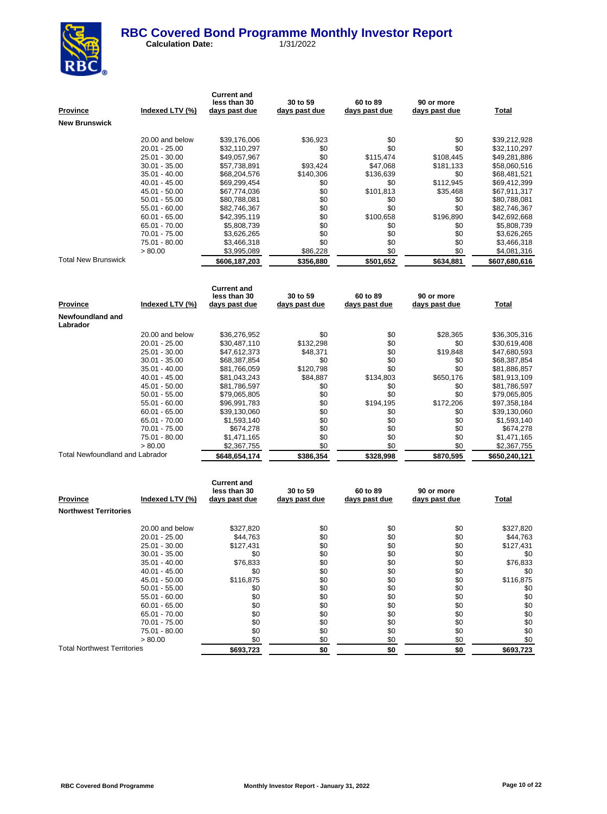

| Province                        | Indexed LTV (%) | <b>Current and</b><br>less than 30<br>days past due | 30 to 59<br>days past due | 60 to 89<br>days past due | 90 or more<br><u>days past due</u> | Total         |
|---------------------------------|-----------------|-----------------------------------------------------|---------------------------|---------------------------|------------------------------------|---------------|
| New Brunswick                   |                 |                                                     |                           |                           |                                    |               |
|                                 | 20.00 and below | \$39,176,006                                        | \$36,923                  | \$0                       | \$0                                | \$39,212,928  |
|                                 | 20.01 - 25.00   | \$32,110,297                                        | \$0                       | \$0                       | \$0                                | \$32,110,297  |
|                                 | 25.01 - 30.00   | \$49,057,967                                        | \$0                       | \$115,474                 | \$108,445                          | \$49,281,886  |
|                                 | $30.01 - 35.00$ | \$57,738,891                                        | \$93,424                  | \$47,068                  | \$181,133                          | \$58,060,516  |
|                                 | 35.01 - 40.00   | \$68,204,576                                        | \$140,306                 | \$136,639                 | \$0                                | \$68,481,521  |
|                                 | 40.01 - 45.00   | \$69,299,454                                        | \$0                       | \$0                       | \$112,945                          | \$69,412,399  |
|                                 | 45.01 - 50.00   | \$67,774,036                                        | \$0                       | \$101,813                 | \$35,468                           | \$67,911,317  |
|                                 | $50.01 - 55.00$ | \$80,788,081                                        | \$0                       | \$0                       | \$0                                | \$80,788,081  |
|                                 | 55.01 - 60.00   | \$82,746,367                                        | \$0                       | \$0                       | \$0                                | \$82,746,367  |
|                                 | $60.01 - 65.00$ | \$42,395,119                                        | \$0                       | \$100,658                 | \$196,890                          | \$42,692,668  |
|                                 | 65.01 - 70.00   | \$5,808,739                                         | \$0                       | \$0                       | \$0                                | \$5,808,739   |
|                                 | 70.01 - 75.00   | \$3,626,265                                         | \$0                       | \$0                       | \$0                                | \$3,626,265   |
|                                 | 75.01 - 80.00   | \$3,466,318                                         | \$0                       | \$0                       | \$0                                | \$3,466,318   |
|                                 | > 80.00         | \$3,995,089                                         | \$86,228                  | \$0                       | \$0                                | \$4,081,316   |
| <b>Total New Brunswick</b>      |                 | \$606,187,203                                       | \$356,880                 | \$501,652                 | \$634,881                          | \$607,680,616 |
|                                 |                 |                                                     |                           |                           |                                    |               |
|                                 |                 | <b>Current and</b><br>less than 30                  | 30 to 59                  | 60 to 89                  | 90 or more                         |               |
| Province                        | Indexed LTV (%) | days past due                                       | days past due             | days past due             | <u>days past due</u>               | Total         |
| Newfoundland and<br>Labrador    |                 |                                                     |                           |                           |                                    |               |
|                                 | 20.00 and below | \$36,276,952                                        | \$0                       | \$0                       | \$28,365                           | \$36,305,316  |
|                                 | 20.01 - 25.00   | \$30,487,110                                        | \$132,298                 | \$0                       | \$0                                | \$30,619,408  |
|                                 | 25.01 - 30.00   | \$47,612,373                                        | \$48,371                  | \$0                       | \$19,848                           | \$47,680,593  |
|                                 | 30.01 - 35.00   | \$68,387,854                                        | \$0                       | \$0                       | \$0                                | \$68,387,854  |
|                                 | 35.01 - 40.00   | \$81,766,059                                        | \$120,798                 | \$0                       | \$0                                | \$81,886,857  |
|                                 | 40.01 - 45.00   | \$81,043,243                                        | \$84,887                  | \$134,803                 | \$650,176                          | \$81,913,109  |
|                                 | 45.01 - 50.00   | \$81,786,597                                        | \$0                       | \$0                       | \$0                                | \$81,786,597  |
|                                 | $50.01 - 55.00$ | \$79,065,805                                        | \$0                       | \$0                       | \$0                                | \$79,065,805  |
|                                 | 55.01 - 60.00   | \$96,991,783                                        | \$0                       | \$194,195                 | \$172,206                          | \$97,358,184  |
|                                 | $60.01 - 65.00$ | \$39,130,060                                        | \$0                       | \$0                       | \$0                                | \$39,130,060  |
|                                 | 65.01 - 70.00   | \$1,593,140                                         | \$0                       | \$0                       | \$0                                | \$1,593,140   |
|                                 | 70.01 - 75.00   | \$674,278                                           | \$0                       | \$0                       | \$0                                | \$674,278     |
|                                 | 75.01 - 80.00   | \$1,471,165                                         | \$0                       | \$0                       | \$0                                | \$1,471,165   |
|                                 | > 80.00         | \$2,367,755                                         | \$0                       | \$0                       | \$0                                | \$2,367,755   |
| Total Newfoundland and Labrador |                 | \$648,654,174                                       | \$386,354                 | \$328.998                 | \$870,595                          | \$650,240,121 |
|                                 |                 | <b>Current and</b><br>less than 30                  | 30 to 59                  | 60 to 89                  | 90 or more                         |               |
|                                 |                 |                                                     |                           |                           |                                    |               |

| <b>Province</b>                    | Indexed LTV (%) | 1699 UIGH JU<br>days past due | ວບ ເບ ວອ<br>days past due | <b>00 10 09</b><br>days past due | 90 OF HOLE<br>days past due | Total     |
|------------------------------------|-----------------|-------------------------------|---------------------------|----------------------------------|-----------------------------|-----------|
| <b>Northwest Territories</b>       |                 |                               |                           |                                  |                             |           |
|                                    | 20.00 and below | \$327,820                     | \$0                       | \$0                              | \$0                         | \$327,820 |
|                                    | $20.01 - 25.00$ | \$44,763                      | \$0                       | \$0                              | \$0                         | \$44,763  |
|                                    | $25.01 - 30.00$ | \$127,431                     | \$0                       | \$0                              | \$0                         | \$127,431 |
|                                    | $30.01 - 35.00$ | \$0                           | \$0                       | \$0                              | \$0                         | \$0       |
|                                    | $35.01 - 40.00$ | \$76,833                      | \$0                       | \$0                              | \$0                         | \$76,833  |
|                                    | $40.01 - 45.00$ | \$0                           | \$0                       | \$0                              | \$0                         | \$0       |
|                                    | 45.01 - 50.00   | \$116,875                     | \$0                       | \$0                              | \$0                         | \$116,875 |
|                                    | $50.01 - 55.00$ | \$0                           | \$0                       | \$0                              | \$0                         | \$0       |
|                                    | $55.01 - 60.00$ | \$0                           | \$0                       | \$0                              | \$0                         | \$0       |
|                                    | $60.01 - 65.00$ | \$0                           | \$0                       | \$0                              | \$0                         | \$0       |
|                                    | 65.01 - 70.00   | \$0                           | \$0                       | \$0                              | \$0                         | \$0       |
|                                    | 70.01 - 75.00   | \$0                           | \$0                       | \$0                              | \$0                         | \$0       |
|                                    | 75.01 - 80.00   | \$0                           | \$0                       | \$0                              | \$0                         | \$0       |
|                                    | > 80.00         | \$0                           | \$0                       | \$0                              | \$0                         | \$0       |
| <b>Total Northwest Territories</b> |                 | \$693,723                     | \$0                       | \$0                              | \$0                         | \$693,723 |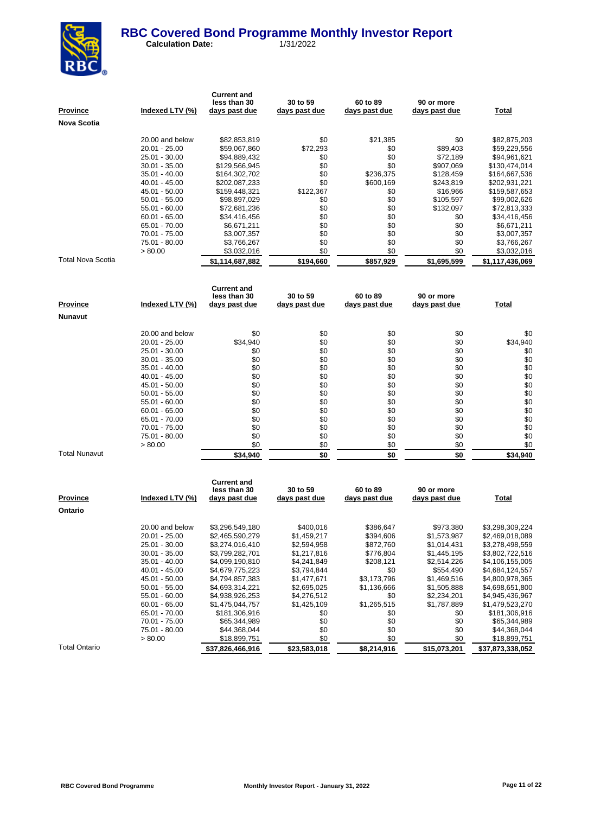

 **Calculation Date:** 1/31/2022

| <b>Province</b><br>Nova Scotia | Indexed LTV (%) | <b>Current and</b><br>less than 30<br>days past due | 30 to 59<br>days past due | 60 to 89<br>days past due | 90 or more<br>days past due | <b>Total</b>    |
|--------------------------------|-----------------|-----------------------------------------------------|---------------------------|---------------------------|-----------------------------|-----------------|
|                                | 20.00 and below | \$82,853,819                                        | \$0                       |                           | \$0                         | \$82,875,203    |
|                                | 20.01 - 25.00   | \$59,067,860                                        | \$72,293                  | \$21,385<br>\$0           | \$89,403                    | \$59,229,556    |
|                                | 25.01 - 30.00   | \$94,889,432                                        | \$0                       | \$0                       | \$72,189                    | \$94,961,621    |
|                                | $30.01 - 35.00$ | \$129,566,945                                       | \$0                       | \$0                       | \$907,069                   | \$130,474,014   |
|                                | $35.01 - 40.00$ | \$164,302,702                                       | \$0                       | \$236,375                 | \$128,459                   | \$164,667,536   |
|                                | 40.01 - 45.00   | \$202,087,233                                       | \$0                       | \$600,169                 | \$243,819                   | \$202,931,221   |
|                                | 45.01 - 50.00   | \$159,448,321                                       | \$122,367                 | \$0                       | \$16,966                    | \$159,587,653   |
|                                | $50.01 - 55.00$ | \$98,897,029                                        | \$0                       | \$0                       | \$105,597                   | \$99,002,626    |
|                                | 55.01 - 60.00   | \$72,681,236                                        | \$0                       | \$0                       | \$132,097                   | \$72,813,333    |
|                                | $60.01 - 65.00$ | \$34,416,456                                        | \$0                       | \$0                       | \$0                         | \$34,416,456    |
|                                | 65.01 - 70.00   | \$6,671,211                                         | \$0                       | \$0                       | \$0                         | \$6,671,211     |
|                                | 70.01 - 75.00   | \$3,007,357                                         | \$0                       | \$0                       | \$0                         | \$3,007,357     |
|                                | 75.01 - 80.00   | \$3,766,267                                         | \$0                       | \$0                       | \$0                         | \$3,766,267     |
|                                | > 80.00         | \$3,032,016                                         | \$0                       | \$0                       | \$0                         | \$3,032,016     |
| <b>Total Nova Scotia</b>       |                 | \$1,114,687,882                                     | \$194,660                 | \$857,929                 | \$1,695,599                 | \$1,117,436,069 |
|                                |                 | <b>Current and</b><br>less than 30                  | 30 to 59                  | 60 to 89                  | 90 or more                  |                 |
| <b>Province</b>                | Indexed LTV (%) | days past due                                       | days past due             | days past due             | days past due               | <b>Total</b>    |
| Nunavut                        |                 |                                                     |                           |                           |                             |                 |
|                                | 20.00 and below | \$0                                                 | \$0                       | \$0                       | \$0                         | \$0             |
|                                | 20.01 - 25.00   | \$34,940                                            | \$0                       | \$0                       | \$0                         | \$34,940        |
|                                | 25.01 - 30.00   | \$0                                                 | \$0                       | \$0                       | \$0                         | \$0             |
|                                | $30.01 - 35.00$ | \$0                                                 | \$0                       | \$0                       | \$0                         | \$0             |
|                                | $35.01 - 40.00$ | \$0                                                 | \$0                       | \$0                       | \$0                         | \$0             |
|                                | 40.01 - 45.00   | \$0                                                 | \$0                       | \$0                       | \$0                         | \$0             |
|                                | 45.01 - 50.00   | \$0                                                 | \$0                       | \$0                       | \$0                         | \$0             |
|                                | $50.01 - 55.00$ | \$0                                                 | \$0                       | \$0                       | \$0                         | \$0             |
|                                | 55.01 - 60.00   | \$0                                                 | \$0                       | \$0                       | \$0                         | \$0             |
|                                | $60.01 - 65.00$ | \$0                                                 | \$0                       | \$0                       | \$0                         | \$0             |
|                                | 65.01 - 70.00   | \$0                                                 | \$0                       | \$0                       | \$0                         | \$0             |
|                                | 70.01 - 75.00   | \$0                                                 | \$0                       | \$0                       | \$0                         | \$0             |
|                                | 75.01 - 80.00   | \$0                                                 | \$0                       | \$0                       | \$0                         | \$0             |
|                                | > 80.00         | \$0                                                 | \$0                       | \$0                       | \$0                         | \$0             |
| <b>Total Nunavut</b>           |                 | \$34,940                                            | \$0                       | \$0                       | \$0                         | \$34,940        |
|                                |                 |                                                     |                           |                           |                             |                 |
|                                |                 | <b>Current and</b>                                  |                           |                           |                             |                 |
|                                |                 | less than 30                                        | 30 to 59                  | 60 to 89                  | 90 or more                  |                 |
| <u>Province</u>                | Indexed LTV (%) | <u>days past due</u>                                | days past due             | days past due             | days past due               | Total           |
| Ontario                        |                 |                                                     |                           |                           |                             |                 |
|                                | 20.00 and below | \$3,296,549,180                                     | \$400,016                 | \$386,647                 | \$973,380                   | \$3,298,309,224 |
|                                | $20.01 - 25.00$ | \$2,465,590,279                                     | \$1,459,217               | \$394,606                 | \$1,573,987                 | \$2,469,018,089 |
|                                | 25.01 - 30.00   | \$3,274,016,410                                     | \$2,594,958               | \$872,760                 | \$1,014,431                 | \$3,278,498,559 |
|                                | $30.01 - 35.00$ | \$3,799,282,701                                     | \$1,217,816               | \$776,804                 | \$1,445,195                 | \$3,802,722,516 |
|                                | $35.01 - 40.00$ | \$4,099,190,810                                     | \$4,241,849               | \$208,121                 | \$2,514,226                 | \$4,106,155,005 |
|                                | 40.01 - 45.00   | \$4,679,775,223                                     | \$3,794,844               | \$0                       | \$554,490                   | \$4,684,124,557 |
|                                | 45.01 - 50.00   | \$4,794,857,383                                     | \$1,477,671               | \$3,173,796               | \$1,469,516                 | \$4,800,978,365 |
|                                | $50.01 - 55.00$ | \$4,693,314,221                                     | \$2,695,025               | \$1,136,666               | \$1,505,888                 | \$4,698,651,800 |
|                                | 55.01 - 60.00   | \$4,938,926,253                                     | \$4,276,512               | \$0                       | \$2,234,201                 | \$4,945,436,967 |
|                                | $60.01 - 65.00$ | \$1,475,044,757                                     | \$1,425,109               | \$1,265,515               | \$1,787,889                 | \$1,479,523,270 |
|                                | 65.01 - 70.00   | \$181,306,916                                       | \$0                       | \$0                       | \$0                         | \$181,306,916   |

Total Ontario **\$37,826,466,916 \$23,583,018 \$8,214,916 \$15,073,201 \$37,873,338,052**

 $$18,899,751$ 

 $$181,306,916$ <br>  $$65,344,989$ <br>  $$65,344,989$ <br>  $$69$ <br>  $$65,344,989$ <br>  $$69$ <br>  $$65,344,989$ 

70.01 - 75.00 \$65,344,989 \$0 \$0 \$0 \$65,344,989 \$0 \$65,344,989 \$0 \$65,344,989 \$144,368,044 \$0 \$0 \$44,368,044  $\begin{array}{ccccccccc} 75.01 & 80.00 && \textbf{$\$44,368,044} && \textbf{$\$0} && \textbf{$\$0}$ && \textbf{$\$0$} && \textbf{$\$44,368,044} \\ & >80.00 && \textbf{$\$18,899,751} && \textbf{201} && \textbf{$\$0$} && \textbf{$\$0$} && \textbf{$\$18,899,751} \end{array}$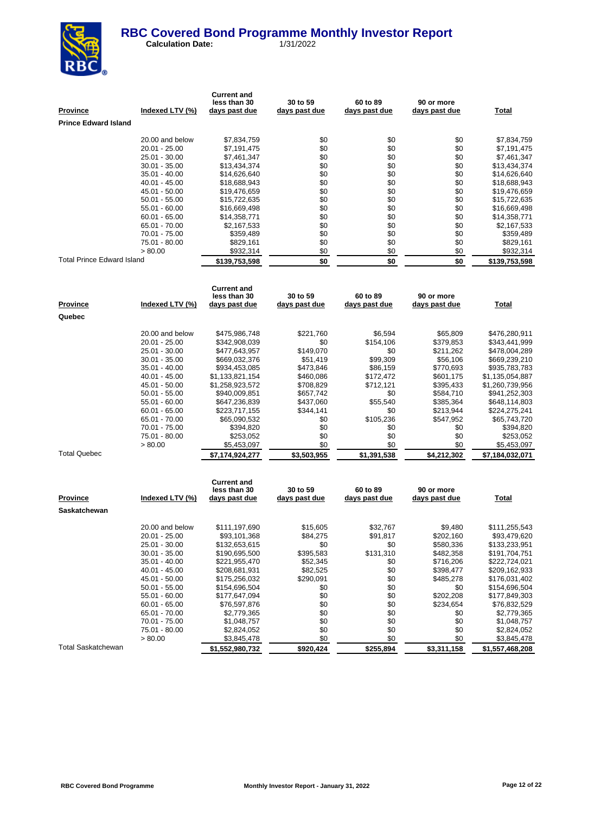

| <b>Province</b>                   | Indexed LTV (%)                    | <b>Current and</b><br>less than 30<br>days past due | 30 to 59<br><u>days past due</u> | 60 to 89<br>days past due | 90 or more<br>days past due | <b>Total</b>                   |
|-----------------------------------|------------------------------------|-----------------------------------------------------|----------------------------------|---------------------------|-----------------------------|--------------------------------|
| <b>Prince Edward Island</b>       |                                    |                                                     |                                  |                           |                             |                                |
|                                   | 20.00 and below                    | \$7,834,759                                         | \$0                              | \$0                       | \$0                         | \$7,834,759                    |
|                                   | 20.01 - 25.00                      | \$7,191,475                                         | \$0                              | \$0                       | \$0                         | \$7,191,475                    |
|                                   | 25.01 - 30.00                      | \$7,461,347                                         | \$0                              | \$0                       | \$0                         | \$7,461,347                    |
|                                   | 30.01 - 35.00                      | \$13,434,374                                        | \$0                              | \$0                       | \$0                         | \$13,434,374                   |
|                                   | 35.01 - 40.00                      | \$14,626,640                                        | \$0                              | \$0                       | \$0                         | \$14,626,640                   |
|                                   | 40.01 - 45.00                      | \$18,688,943                                        | \$0                              | \$0                       | \$0                         | \$18,688,943                   |
|                                   | 45.01 - 50.00                      | \$19,476,659                                        | \$0                              | \$0                       | \$0                         | \$19,476,659                   |
|                                   | $50.01 - 55.00$                    | \$15,722,635                                        | \$0                              | \$0                       | \$0                         | \$15,722,635                   |
|                                   | 55.01 - 60.00                      | \$16,669,498                                        | \$0                              | \$0                       | \$0                         | \$16,669,498                   |
|                                   | $60.01 - 65.00$                    | \$14,358,771                                        | \$0                              | \$0                       | \$0                         | \$14,358,771                   |
|                                   | 65.01 - 70.00                      | \$2,167,533                                         | \$0                              | \$0                       | \$0                         | \$2,167,533                    |
|                                   | 70.01 - 75.00<br>75.01 - 80.00     | \$359,489<br>\$829,161                              | \$0<br>\$0                       | \$0<br>\$0                | \$0<br>\$0                  | \$359,489<br>\$829,161         |
|                                   | > 80.00                            | \$932,314                                           | \$0                              | \$0                       | \$0                         | \$932,314                      |
| <b>Total Prince Edward Island</b> |                                    | \$139,753,598                                       | \$0                              | \$0                       | \$0                         | \$139,753,598                  |
|                                   |                                    |                                                     |                                  |                           |                             |                                |
|                                   |                                    | <b>Current and</b>                                  |                                  |                           |                             |                                |
|                                   |                                    | less than 30                                        | 30 to 59                         | 60 to 89                  | 90 or more                  |                                |
| <u>Province</u>                   | Indexed LTV (%)                    | days past due                                       | <u>days past due</u>             | days past due             | <u>days past due</u>        | <b>Total</b>                   |
| Quebec                            |                                    |                                                     |                                  |                           |                             |                                |
|                                   |                                    |                                                     |                                  |                           |                             |                                |
|                                   | 20.00 and below                    | \$475,986,748                                       | \$221,760                        | \$6,594                   | \$65,809                    | \$476,280,911                  |
|                                   | 20.01 - 25.00                      | \$342,908,039                                       | \$0                              | \$154,106                 | \$379,853                   | \$343,441,999                  |
|                                   | 25.01 - 30.00                      | \$477,643,957                                       | \$149,070                        | \$0                       | \$211,262                   | \$478,004,289                  |
|                                   | 30.01 - 35.00<br>35.01 - 40.00     | \$669,032,376<br>\$934,453,085                      | \$51,419<br>\$473,846            | \$99,309<br>\$86,159      | \$56,106<br>\$770,693       | \$669,239,210<br>\$935,783,783 |
|                                   | $40.01 - 45.00$                    | \$1,133,821,154                                     | \$460,086                        | \$172,472                 | \$601,175                   | \$1,135,054,887                |
|                                   | 45.01 - 50.00                      | \$1,258,923,572                                     | \$708,829                        | \$712,121                 | \$395,433                   | \$1,260,739,956                |
|                                   | $50.01 - 55.00$                    | \$940,009,851                                       | \$657,742                        | \$0                       | \$584,710                   | \$941,252,303                  |
|                                   | 55.01 - 60.00                      | \$647,236,839                                       | \$437,060                        | \$55,540                  | \$385,364                   | \$648,114,803                  |
|                                   | $60.01 - 65.00$                    | \$223,717,155                                       | \$344,141                        | \$0                       | \$213,944                   | \$224,275,241                  |
|                                   | 65.01 - 70.00                      | \$65,090,532                                        | \$0                              | \$105,236                 | \$547,952                   | \$65,743,720                   |
|                                   | 70.01 - 75.00                      | \$394,820                                           | \$0                              | \$0                       | \$0                         | \$394,820                      |
|                                   | 75.01 - 80.00<br>> 80.00           | \$253,052<br>\$5,453,097                            | \$0<br>\$0                       | \$0<br>\$0                | \$0<br>\$0                  | \$253,052<br>\$5,453,097       |
| <b>Total Quebec</b>               |                                    | \$7,174,924,277                                     | \$3,503,955                      | \$1,391,538               | \$4,212,302                 | \$7,184,032,071                |
|                                   |                                    |                                                     |                                  |                           |                             |                                |
|                                   |                                    | <b>Current and</b>                                  |                                  |                           |                             |                                |
|                                   |                                    | less than 30                                        | 30 to 59                         | 60 to 89                  | 90 or more                  |                                |
| Province                          | Indexed LTV (%)                    | days past due                                       | days past due                    | days past due             | days past due               | Total                          |
| Saskatchewan                      |                                    |                                                     |                                  |                           |                             |                                |
|                                   | 20.00 and below                    | \$111,197,690                                       | \$15,605                         | \$32,767                  | \$9,480                     | \$111,255,543                  |
|                                   | 20.01 - 25.00                      | \$93,101,368                                        | \$84,275                         | \$91,817                  | \$202,160                   | \$93,479,620                   |
|                                   | 25.01 - 30.00                      | \$132,653,615                                       | \$0                              | \$0                       | \$580,336                   | \$133,233,951                  |
|                                   | 30.01 - 35.00                      | \$190,695,500                                       | \$395,583                        | \$131,310                 | \$482,358                   | \$191,704,751                  |
|                                   | $35.01 - 40.00$                    | \$221,955,470                                       | \$52,345                         | \$0                       | \$716,206                   | \$222,724,021                  |
|                                   | $40.01 - 45.00$                    | \$208,681,931                                       | \$82,525                         | \$0                       | \$398,477                   | \$209,162,933                  |
|                                   | 45.01 - 50.00                      | \$175,256,032                                       | \$290,091<br>\$0                 | \$0<br>\$0                | \$485,278                   | \$176,031,402<br>\$154,696,504 |
|                                   | $50.01 - 55.00$<br>$55.01 - 60.00$ | \$154,696,504<br>\$177,647,094                      | \$0                              | \$0                       | \$0<br>\$202,208            | \$177,849,303                  |
|                                   | $60.01 - 65.00$                    | \$76,597,876                                        | \$0                              | \$0                       | \$234,654                   | \$76,832,529                   |
|                                   | 65.01 - 70.00                      | \$2,779,365                                         | \$0                              | \$0                       | \$0                         | \$2,779,365                    |
|                                   | 70.01 - 75.00                      | \$1,048,757                                         | \$0                              | \$0                       | \$0                         | \$1,048,757                    |
|                                   | 75.01 - 80.00                      | \$2,824,052                                         | \$0                              | \$0                       | \$0                         | \$2,824,052                    |
|                                   | > 80.00                            | \$3,845,478                                         | \$0                              | \$0                       | \$0                         | \$3,845,478                    |
| <b>Total Saskatchewan</b>         |                                    | \$1,552,980,732                                     | \$920,424                        | \$255,894                 | \$3,311,158                 | \$1,557,468,208                |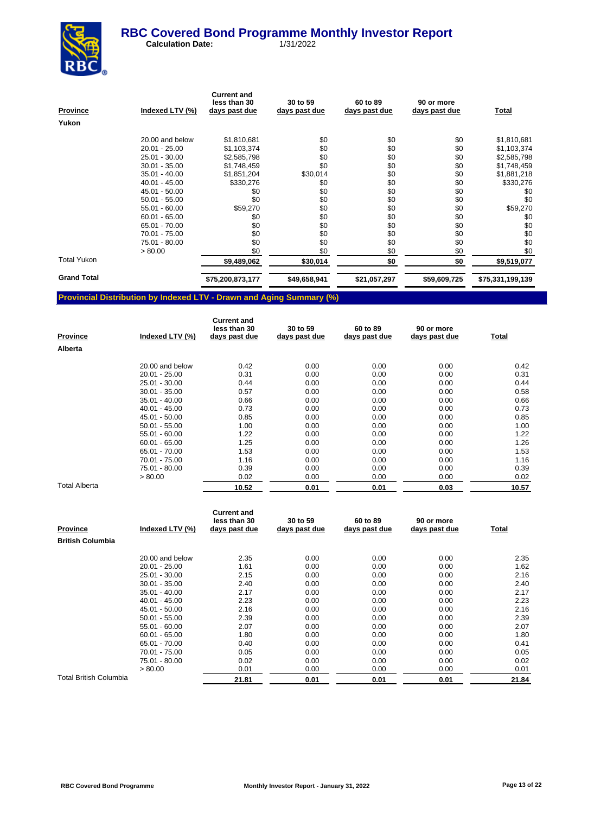

 **Calculation Date:** 1/31/2022

| Indexed LTV (%) | <b>Current and</b><br>less than 30<br>days past due | 30 to 59<br>days past due | 60 to 89<br>days past due | 90 or more<br>days past due | Total            |
|-----------------|-----------------------------------------------------|---------------------------|---------------------------|-----------------------------|------------------|
|                 |                                                     |                           |                           |                             |                  |
| 20.00 and below | \$1,810,681                                         | \$0                       | \$0                       | \$0                         | \$1,810,681      |
| $20.01 - 25.00$ | \$1,103,374                                         | \$0                       | \$0                       | \$0                         | \$1,103,374      |
| 25.01 - 30.00   | \$2,585,798                                         | \$0                       | \$0                       | \$0                         | \$2,585,798      |
| $30.01 - 35.00$ | \$1,748,459                                         | \$0                       | \$0                       | \$0                         | \$1,748,459      |
| $35.01 - 40.00$ | \$1,851,204                                         | \$30,014                  | \$0                       | \$0                         | \$1,881,218      |
| $40.01 - 45.00$ | \$330,276                                           | \$0                       | \$0                       | \$0                         | \$330,276        |
| 45.01 - 50.00   | \$0                                                 | \$0                       | \$0                       | \$0                         | \$0              |
| $50.01 - 55.00$ | \$0                                                 | \$0                       | \$0                       | \$0                         | \$0              |
| 55.01 - 60.00   | \$59,270                                            | \$0                       | \$0                       | \$0                         | \$59,270         |
| $60.01 - 65.00$ | \$0                                                 | \$0                       | \$0                       | \$0                         | \$0              |
| 65.01 - 70.00   | \$0                                                 | \$0                       | \$0                       | \$0                         | \$0              |
| 70.01 - 75.00   | \$0                                                 | \$0                       | \$0                       | \$0                         | \$0              |
| 75.01 - 80.00   | \$0                                                 | \$0                       | \$0                       | \$0                         | \$0              |
| > 80.00         | \$0                                                 | \$0                       | \$0                       | \$0                         | \$0              |
|                 | \$9,489,062                                         | \$30,014                  | \$0                       | \$0                         | \$9,519,077      |
|                 | \$75,200,873,177                                    | \$49,658,941              | \$21,057,297              | \$59,609,725                | \$75,331,199,139 |
|                 |                                                     |                           |                           |                             |                  |

## **Provincial Distribution by Indexed LTV - Drawn and Aging Summary (%)**

| <b>Province</b>      | Indexed LTV (%) | <b>Current and</b><br>less than 30<br>days past due | 30 to 59<br>days past due | 60 to 89<br>days past due | 90 or more<br>days past due | Total |
|----------------------|-----------------|-----------------------------------------------------|---------------------------|---------------------------|-----------------------------|-------|
| Alberta              |                 |                                                     |                           |                           |                             |       |
|                      | 20.00 and below | 0.42                                                | 0.00                      | 0.00                      | 0.00                        | 0.42  |
|                      | $20.01 - 25.00$ | 0.31                                                | 0.00                      | 0.00                      | 0.00                        | 0.31  |
|                      | 25.01 - 30.00   | 0.44                                                | 0.00                      | 0.00                      | 0.00                        | 0.44  |
|                      | $30.01 - 35.00$ | 0.57                                                | 0.00                      | 0.00                      | 0.00                        | 0.58  |
|                      | $35.01 - 40.00$ | 0.66                                                | 0.00                      | 0.00                      | 0.00                        | 0.66  |
|                      | $40.01 - 45.00$ | 0.73                                                | 0.00                      | 0.00                      | 0.00                        | 0.73  |
|                      | 45.01 - 50.00   | 0.85                                                | 0.00                      | 0.00                      | 0.00                        | 0.85  |
|                      | $50.01 - 55.00$ | 1.00                                                | 0.00                      | 0.00                      | 0.00                        | 1.00  |
|                      | 55.01 - 60.00   | 1.22                                                | 0.00                      | 0.00                      | 0.00                        | 1.22  |
|                      | $60.01 - 65.00$ | 1.25                                                | 0.00                      | 0.00                      | 0.00                        | 1.26  |
|                      | 65.01 - 70.00   | 1.53                                                | 0.00                      | 0.00                      | 0.00                        | 1.53  |
|                      | 70.01 - 75.00   | 1.16                                                | 0.00                      | 0.00                      | 0.00                        | 1.16  |
|                      | 75.01 - 80.00   | 0.39                                                | 0.00                      | 0.00                      | 0.00                        | 0.39  |
|                      | > 80.00         | 0.02                                                | 0.00                      | 0.00                      | 0.00                        | 0.02  |
| <b>Total Alberta</b> |                 | 10.52                                               | 0.01                      | 0.01                      | 0.03                        | 10.57 |

| <b>Province</b>         | Indexed LTV (%) | <b>Current and</b><br>less than 30<br>days past due | 30 to 59<br>days past due | 60 to 89<br>days past due | 90 or more<br>days past due | <u>Total</u> |
|-------------------------|-----------------|-----------------------------------------------------|---------------------------|---------------------------|-----------------------------|--------------|
| <b>British Columbia</b> |                 |                                                     |                           |                           |                             |              |
|                         | 20.00 and below | 2.35                                                | 0.00                      | 0.00                      | 0.00                        | 2.35         |
|                         | $20.01 - 25.00$ | 1.61                                                | 0.00                      | 0.00                      | 0.00                        | 1.62         |
|                         | 25.01 - 30.00   | 2.15                                                | 0.00                      | 0.00                      | 0.00                        | 2.16         |
|                         | $30.01 - 35.00$ | 2.40                                                | 0.00                      | 0.00                      | 0.00                        | 2.40         |
|                         | $35.01 - 40.00$ | 2.17                                                | 0.00                      | 0.00                      | 0.00                        | 2.17         |
|                         | $40.01 - 45.00$ | 2.23                                                | 0.00                      | 0.00                      | 0.00                        | 2.23         |
|                         | 45.01 - 50.00   | 2.16                                                | 0.00                      | 0.00                      | 0.00                        | 2.16         |
|                         | $50.01 - 55.00$ | 2.39                                                | 0.00                      | 0.00                      | 0.00                        | 2.39         |
|                         | $55.01 - 60.00$ | 2.07                                                | 0.00                      | 0.00                      | 0.00                        | 2.07         |
|                         | $60.01 - 65.00$ | 1.80                                                | 0.00                      | 0.00                      | 0.00                        | 1.80         |
|                         | 65.01 - 70.00   | 0.40                                                | 0.00                      | 0.00                      | 0.00                        | 0.41         |
|                         | 70.01 - 75.00   | 0.05                                                | 0.00                      | 0.00                      | 0.00                        | 0.05         |
|                         | 75.01 - 80.00   | 0.02                                                | 0.00                      | 0.00                      | 0.00                        | 0.02         |
|                         | > 80.00         | 0.01                                                | 0.00                      | 0.00                      | 0.00                        | 0.01         |
| Total British Columbia  |                 | 21.81                                               | 0.01                      | 0.01                      | 0.01                        | 21.84        |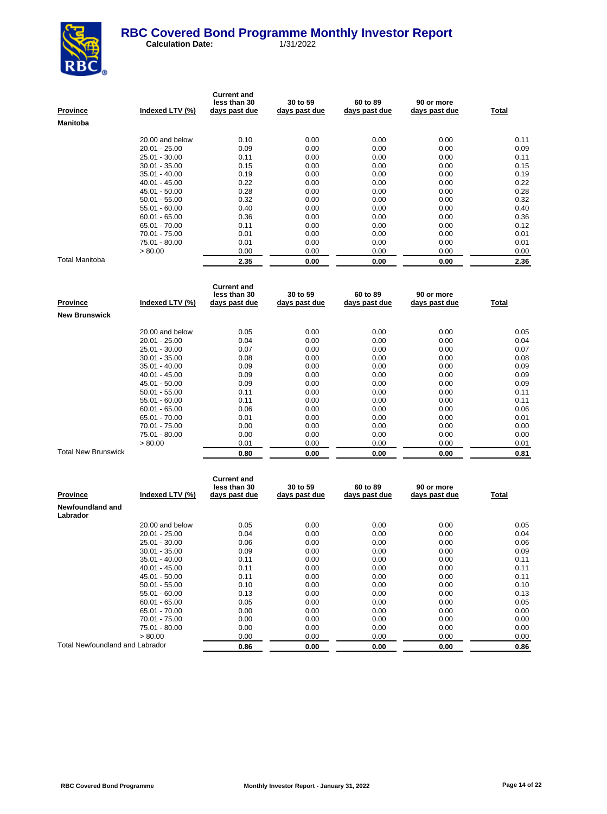

| <b>Province</b>       | Indexed LTV (%) | <b>Current and</b><br>less than 30<br>days past due | 30 to 59<br>days past due | 60 to 89<br>days past due | 90 or more<br>days past due | Total |
|-----------------------|-----------------|-----------------------------------------------------|---------------------------|---------------------------|-----------------------------|-------|
| <b>Manitoba</b>       |                 |                                                     |                           |                           |                             |       |
|                       | 20.00 and below | 0.10                                                | 0.00                      | 0.00                      | 0.00                        | 0.11  |
|                       | $20.01 - 25.00$ | 0.09                                                | 0.00                      | 0.00                      | 0.00                        | 0.09  |
|                       | 25.01 - 30.00   | 0.11                                                | 0.00                      | 0.00                      | 0.00                        | 0.11  |
|                       | $30.01 - 35.00$ | 0.15                                                | 0.00                      | 0.00                      | 0.00                        | 0.15  |
|                       | $35.01 - 40.00$ | 0.19                                                | 0.00                      | 0.00                      | 0.00                        | 0.19  |
|                       | $40.01 - 45.00$ | 0.22                                                | 0.00                      | 0.00                      | 0.00                        | 0.22  |
|                       | 45.01 - 50.00   | 0.28                                                | 0.00                      | 0.00                      | 0.00                        | 0.28  |
|                       | $50.01 - 55.00$ | 0.32                                                | 0.00                      | 0.00                      | 0.00                        | 0.32  |
|                       | $55.01 - 60.00$ | 0.40                                                | 0.00                      | 0.00                      | 0.00                        | 0.40  |
|                       | $60.01 - 65.00$ | 0.36                                                | 0.00                      | 0.00                      | 0.00                        | 0.36  |
|                       | 65.01 - 70.00   | 0.11                                                | 0.00                      | 0.00                      | 0.00                        | 0.12  |
|                       | 70.01 - 75.00   | 0.01                                                | 0.00                      | 0.00                      | 0.00                        | 0.01  |
|                       | 75.01 - 80.00   | 0.01                                                | 0.00                      | 0.00                      | 0.00                        | 0.01  |
|                       | > 80.00         | 0.00                                                | 0.00                      | 0.00                      | 0.00                        | 0.00  |
| <b>Total Manitoba</b> |                 | 2.35                                                | 0.00                      | 0.00                      | 0.00                        | 2.36  |

| Province                   | Indexed LTV (%) | <b>Current and</b><br>less than 30<br>days past due | 30 to 59<br>days past due | 60 to 89<br>days past due | 90 or more<br>days past due | Total |
|----------------------------|-----------------|-----------------------------------------------------|---------------------------|---------------------------|-----------------------------|-------|
| <b>New Brunswick</b>       |                 |                                                     |                           |                           |                             |       |
|                            | 20.00 and below | 0.05                                                | 0.00                      | 0.00                      | 0.00                        | 0.05  |
|                            | $20.01 - 25.00$ | 0.04                                                | 0.00                      | 0.00                      | 0.00                        | 0.04  |
|                            | 25.01 - 30.00   | 0.07                                                | 0.00                      | 0.00                      | 0.00                        | 0.07  |
|                            | $30.01 - 35.00$ | 0.08                                                | 0.00                      | 0.00                      | 0.00                        | 0.08  |
|                            | $35.01 - 40.00$ | 0.09                                                | 0.00                      | 0.00                      | 0.00                        | 0.09  |
|                            | $40.01 - 45.00$ | 0.09                                                | 0.00                      | 0.00                      | 0.00                        | 0.09  |
|                            | 45.01 - 50.00   | 0.09                                                | 0.00                      | 0.00                      | 0.00                        | 0.09  |
|                            | $50.01 - 55.00$ | 0.11                                                | 0.00                      | 0.00                      | 0.00                        | 0.11  |
|                            | $55.01 - 60.00$ | 0.11                                                | 0.00                      | 0.00                      | 0.00                        | 0.11  |
|                            | $60.01 - 65.00$ | 0.06                                                | 0.00                      | 0.00                      | 0.00                        | 0.06  |
|                            | 65.01 - 70.00   | 0.01                                                | 0.00                      | 0.00                      | 0.00                        | 0.01  |
|                            | 70.01 - 75.00   | 0.00                                                | 0.00                      | 0.00                      | 0.00                        | 0.00  |
|                            | 75.01 - 80.00   | 0.00                                                | 0.00                      | 0.00                      | 0.00                        | 0.00  |
|                            | > 80.00         | 0.01                                                | 0.00                      | 0.00                      | 0.00                        | 0.01  |
| <b>Total New Brunswick</b> |                 | 0.80                                                | 0.00                      | 0.00                      | 0.00                        | 0.81  |

| <b>Province</b>                 | Indexed LTV (%) | <b>Current and</b><br>less than 30<br>days past due | 30 to 59<br>days past due | 60 to 89<br>days past due | 90 or more<br>days past due | Total |
|---------------------------------|-----------------|-----------------------------------------------------|---------------------------|---------------------------|-----------------------------|-------|
| Newfoundland and<br>Labrador    |                 |                                                     |                           |                           |                             |       |
|                                 | 20.00 and below | 0.05                                                | 0.00                      | 0.00                      | 0.00                        | 0.05  |
|                                 | $20.01 - 25.00$ | 0.04                                                | 0.00                      | 0.00                      | 0.00                        | 0.04  |
|                                 | 25.01 - 30.00   | 0.06                                                | 0.00                      | 0.00                      | 0.00                        | 0.06  |
|                                 | $30.01 - 35.00$ | 0.09                                                | 0.00                      | 0.00                      | 0.00                        | 0.09  |
|                                 | $35.01 - 40.00$ | 0.11                                                | 0.00                      | 0.00                      | 0.00                        | 0.11  |
|                                 | $40.01 - 45.00$ | 0.11                                                | 0.00                      | 0.00                      | 0.00                        | 0.11  |
|                                 | 45.01 - 50.00   | 0.11                                                | 0.00                      | 0.00                      | 0.00                        | 0.11  |
|                                 | $50.01 - 55.00$ | 0.10                                                | 0.00                      | 0.00                      | 0.00                        | 0.10  |
|                                 | $55.01 - 60.00$ | 0.13                                                | 0.00                      | 0.00                      | 0.00                        | 0.13  |
|                                 | $60.01 - 65.00$ | 0.05                                                | 0.00                      | 0.00                      | 0.00                        | 0.05  |
|                                 | 65.01 - 70.00   | 0.00                                                | 0.00                      | 0.00                      | 0.00                        | 0.00  |
|                                 | 70.01 - 75.00   | 0.00                                                | 0.00                      | 0.00                      | 0.00                        | 0.00  |
|                                 | 75.01 - 80.00   | 0.00                                                | 0.00                      | 0.00                      | 0.00                        | 0.00  |
|                                 | > 80.00         | 0.00                                                | 0.00                      | 0.00                      | 0.00                        | 0.00  |
| Total Newfoundland and Labrador |                 | 0.86                                                | 0.00                      | 0.00                      | 0.00                        | 0.86  |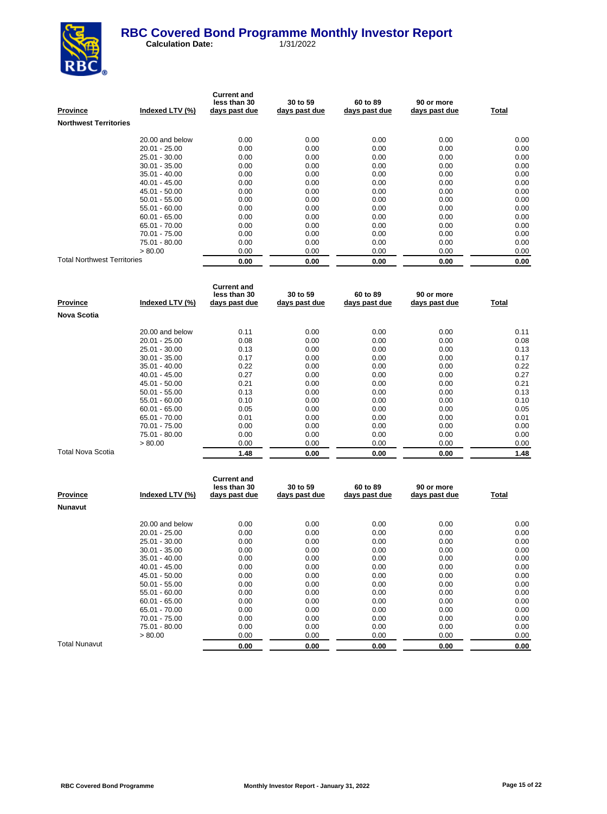

| <b>Province</b>                    | Indexed LTV (%) | <b>Current and</b><br>less than 30<br>days past due | 30 to 59<br>days past due | 60 to 89<br>days past due | 90 or more<br>days past due | Total |
|------------------------------------|-----------------|-----------------------------------------------------|---------------------------|---------------------------|-----------------------------|-------|
| <b>Northwest Territories</b>       |                 |                                                     |                           |                           |                             |       |
|                                    | 20.00 and below | 0.00                                                | 0.00                      | 0.00                      | 0.00                        | 0.00  |
|                                    | $20.01 - 25.00$ | 0.00                                                | 0.00                      | 0.00                      | 0.00                        | 0.00  |
|                                    | 25.01 - 30.00   | 0.00                                                | 0.00                      | 0.00                      | 0.00                        | 0.00  |
|                                    | 30.01 - 35.00   | 0.00                                                | 0.00                      | 0.00                      | 0.00                        | 0.00  |
|                                    | $35.01 - 40.00$ | 0.00                                                | 0.00                      | 0.00                      | 0.00                        | 0.00  |
|                                    | 40.01 - 45.00   | 0.00                                                | 0.00                      | 0.00                      | 0.00                        | 0.00  |
|                                    | 45.01 - 50.00   | 0.00                                                | 0.00                      | 0.00                      | 0.00                        | 0.00  |
|                                    | $50.01 - 55.00$ | 0.00                                                | 0.00                      | 0.00                      | 0.00                        | 0.00  |
|                                    | $55.01 - 60.00$ | 0.00                                                | 0.00                      | 0.00                      | 0.00                        | 0.00  |
|                                    | $60.01 - 65.00$ | 0.00                                                | 0.00                      | 0.00                      | 0.00                        | 0.00  |
|                                    | 65.01 - 70.00   | 0.00                                                | 0.00                      | 0.00                      | 0.00                        | 0.00  |
|                                    | 70.01 - 75.00   | 0.00                                                | 0.00                      | 0.00                      | 0.00                        | 0.00  |
|                                    | 75.01 - 80.00   | 0.00                                                | 0.00                      | 0.00                      | 0.00                        | 0.00  |
|                                    | > 80.00         | 0.00                                                | 0.00                      | 0.00                      | 0.00                        | 0.00  |
| <b>Total Northwest Territories</b> |                 | 0.00                                                | 0.00                      | 0.00                      | 0.00                        | 0.00  |

| Province                 | Indexed LTV (%) | <b>Current and</b><br>less than 30<br>days past due | 30 to 59<br>days past due | 60 to 89<br>days past due | 90 or more<br>days past due | Total |
|--------------------------|-----------------|-----------------------------------------------------|---------------------------|---------------------------|-----------------------------|-------|
| <b>Nova Scotia</b>       |                 |                                                     |                           |                           |                             |       |
|                          | 20.00 and below | 0.11                                                | 0.00                      | 0.00                      | 0.00                        | 0.11  |
|                          | $20.01 - 25.00$ | 0.08                                                | 0.00                      | 0.00                      | 0.00                        | 0.08  |
|                          | $25.01 - 30.00$ | 0.13                                                | 0.00                      | 0.00                      | 0.00                        | 0.13  |
|                          | $30.01 - 35.00$ | 0.17                                                | 0.00                      | 0.00                      | 0.00                        | 0.17  |
|                          | $35.01 - 40.00$ | 0.22                                                | 0.00                      | 0.00                      | 0.00                        | 0.22  |
|                          | $40.01 - 45.00$ | 0.27                                                | 0.00                      | 0.00                      | 0.00                        | 0.27  |
|                          | 45.01 - 50.00   | 0.21                                                | 0.00                      | 0.00                      | 0.00                        | 0.21  |
|                          | $50.01 - 55.00$ | 0.13                                                | 0.00                      | 0.00                      | 0.00                        | 0.13  |
|                          | 55.01 - 60.00   | 0.10                                                | 0.00                      | 0.00                      | 0.00                        | 0.10  |
|                          | $60.01 - 65.00$ | 0.05                                                | 0.00                      | 0.00                      | 0.00                        | 0.05  |
|                          | 65.01 - 70.00   | 0.01                                                | 0.00                      | 0.00                      | 0.00                        | 0.01  |
|                          | 70.01 - 75.00   | 0.00                                                | 0.00                      | 0.00                      | 0.00                        | 0.00  |
|                          | 75.01 - 80.00   | 0.00                                                | 0.00                      | 0.00                      | 0.00                        | 0.00  |
|                          | > 80.00         | 0.00                                                | 0.00                      | 0.00                      | 0.00                        | 0.00  |
| <b>Total Nova Scotia</b> |                 | 1.48                                                | 0.00                      | 0.00                      | 0.00                        | 1.48  |

| <b>Province</b> | Indexed LTV (%) | <b>Current and</b><br>less than 30<br>days past due | 30 to 59<br>days past due | 60 to 89<br>days past due | 90 or more<br>days past due | Total |
|-----------------|-----------------|-----------------------------------------------------|---------------------------|---------------------------|-----------------------------|-------|
| <b>Nunavut</b>  |                 |                                                     |                           |                           |                             |       |
|                 | 20.00 and below | 0.00                                                | 0.00                      | 0.00                      | 0.00                        | 0.00  |
|                 | $20.01 - 25.00$ | 0.00                                                | 0.00                      | 0.00                      | 0.00                        | 0.00  |
|                 | 25.01 - 30.00   | 0.00                                                | 0.00                      | 0.00                      | 0.00                        | 0.00  |
|                 | $30.01 - 35.00$ | 0.00                                                | 0.00                      | 0.00                      | 0.00                        | 0.00  |
|                 | $35.01 - 40.00$ | 0.00                                                | 0.00                      | 0.00                      | 0.00                        | 0.00  |
|                 | $40.01 - 45.00$ | 0.00                                                | 0.00                      | 0.00                      | 0.00                        | 0.00  |
|                 | 45.01 - 50.00   | 0.00                                                | 0.00                      | 0.00                      | 0.00                        | 0.00  |
|                 | $50.01 - 55.00$ | 0.00                                                | 0.00                      | 0.00                      | 0.00                        | 0.00  |
|                 | $55.01 - 60.00$ | 0.00                                                | 0.00                      | 0.00                      | 0.00                        | 0.00  |
|                 | $60.01 - 65.00$ | 0.00                                                | 0.00                      | 0.00                      | 0.00                        | 0.00  |
|                 | 65.01 - 70.00   | 0.00                                                | 0.00                      | 0.00                      | 0.00                        | 0.00  |
|                 | 70.01 - 75.00   | 0.00                                                | 0.00                      | 0.00                      | 0.00                        | 0.00  |
|                 | 75.01 - 80.00   | 0.00                                                | 0.00                      | 0.00                      | 0.00                        | 0.00  |
|                 | > 80.00         | 0.00                                                | 0.00                      | 0.00                      | 0.00                        | 0.00  |
| Total Nunavut   |                 | 0.00                                                | 0.00                      | 0.00                      | 0.00                        | 0.00  |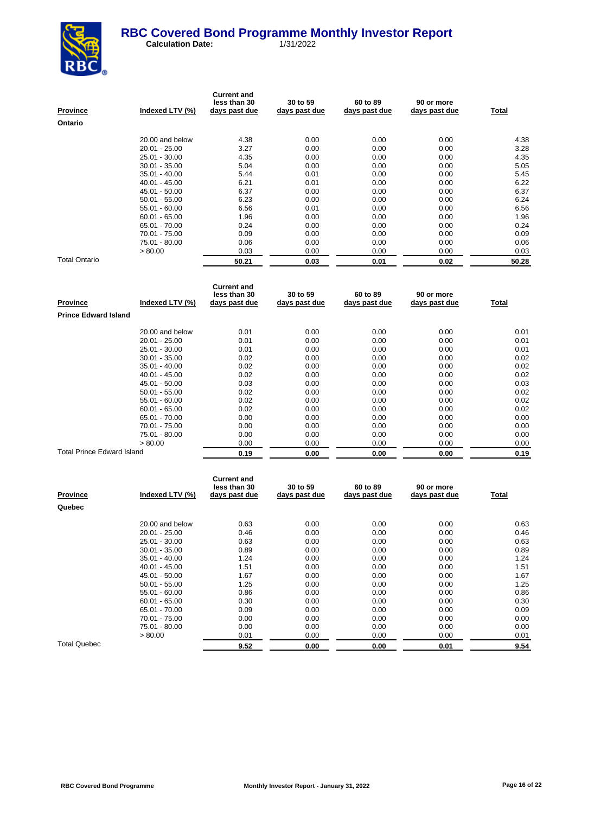

| <b>Province</b> | Indexed LTV (%) | <b>Current and</b><br>less than 30<br>days past due | 30 to 59<br>days past due | 60 to 89<br>days past due | 90 or more<br>days past due | Total |
|-----------------|-----------------|-----------------------------------------------------|---------------------------|---------------------------|-----------------------------|-------|
| Ontario         |                 |                                                     |                           |                           |                             |       |
|                 | 20.00 and below | 4.38                                                | 0.00                      | 0.00                      | 0.00                        | 4.38  |
|                 | $20.01 - 25.00$ | 3.27                                                | 0.00                      | 0.00                      | 0.00                        | 3.28  |
|                 | 25.01 - 30.00   | 4.35                                                | 0.00                      | 0.00                      | 0.00                        | 4.35  |
|                 | $30.01 - 35.00$ | 5.04                                                | 0.00                      | 0.00                      | 0.00                        | 5.05  |
|                 | $35.01 - 40.00$ | 5.44                                                | 0.01                      | 0.00                      | 0.00                        | 5.45  |
|                 | $40.01 - 45.00$ | 6.21                                                | 0.01                      | 0.00                      | 0.00                        | 6.22  |
|                 | 45.01 - 50.00   | 6.37                                                | 0.00                      | 0.00                      | 0.00                        | 6.37  |
|                 | $50.01 - 55.00$ | 6.23                                                | 0.00                      | 0.00                      | 0.00                        | 6.24  |
|                 | $55.01 - 60.00$ | 6.56                                                | 0.01                      | 0.00                      | 0.00                        | 6.56  |
|                 | $60.01 - 65.00$ | 1.96                                                | 0.00                      | 0.00                      | 0.00                        | 1.96  |
|                 | 65.01 - 70.00   | 0.24                                                | 0.00                      | 0.00                      | 0.00                        | 0.24  |
|                 | 70.01 - 75.00   | 0.09                                                | 0.00                      | 0.00                      | 0.00                        | 0.09  |
|                 | 75.01 - 80.00   | 0.06                                                | 0.00                      | 0.00                      | 0.00                        | 0.06  |
|                 | > 80.00         | 0.03                                                | 0.00                      | 0.00                      | 0.00                        | 0.03  |
| Total Ontario   |                 | 50.21                                               | 0.03                      | 0.01                      | 0.02                        | 50.28 |

| <b>Province</b>                   | Indexed LTV (%) | <b>Current and</b><br>less than 30<br>days past due | 30 to 59<br>days past due | 60 to 89<br>days past due | 90 or more<br>days past due | Total |
|-----------------------------------|-----------------|-----------------------------------------------------|---------------------------|---------------------------|-----------------------------|-------|
| <b>Prince Edward Island</b>       |                 |                                                     |                           |                           |                             |       |
|                                   | 20.00 and below | 0.01                                                | 0.00                      | 0.00                      | 0.00                        | 0.01  |
|                                   | $20.01 - 25.00$ | 0.01                                                | 0.00                      | 0.00                      | 0.00                        | 0.01  |
|                                   | 25.01 - 30.00   | 0.01                                                | 0.00                      | 0.00                      | 0.00                        | 0.01  |
|                                   | $30.01 - 35.00$ | 0.02                                                | 0.00                      | 0.00                      | 0.00                        | 0.02  |
|                                   | $35.01 - 40.00$ | 0.02                                                | 0.00                      | 0.00                      | 0.00                        | 0.02  |
|                                   | $40.01 - 45.00$ | 0.02                                                | 0.00                      | 0.00                      | 0.00                        | 0.02  |
|                                   | 45.01 - 50.00   | 0.03                                                | 0.00                      | 0.00                      | 0.00                        | 0.03  |
|                                   | $50.01 - 55.00$ | 0.02                                                | 0.00                      | 0.00                      | 0.00                        | 0.02  |
|                                   | $55.01 - 60.00$ | 0.02                                                | 0.00                      | 0.00                      | 0.00                        | 0.02  |
|                                   | $60.01 - 65.00$ | 0.02                                                | 0.00                      | 0.00                      | 0.00                        | 0.02  |
|                                   | 65.01 - 70.00   | 0.00                                                | 0.00                      | 0.00                      | 0.00                        | 0.00  |
|                                   | 70.01 - 75.00   | 0.00                                                | 0.00                      | 0.00                      | 0.00                        | 0.00  |
|                                   | 75.01 - 80.00   | 0.00                                                | 0.00                      | 0.00                      | 0.00                        | 0.00  |
|                                   | > 80.00         | 0.00                                                | 0.00                      | 0.00                      | 0.00                        | 0.00  |
| <b>Total Prince Edward Island</b> |                 | 0.19                                                | 0.00                      | 0.00                      | 0.00                        | 0.19  |

| <b>Province</b>     | Indexed LTV (%) | <b>Current and</b><br>less than 30<br>days past due | 30 to 59<br>days past due | 60 to 89<br>days past due | 90 or more<br>days past due | Total |
|---------------------|-----------------|-----------------------------------------------------|---------------------------|---------------------------|-----------------------------|-------|
| Quebec              |                 |                                                     |                           |                           |                             |       |
|                     | 20.00 and below | 0.63                                                | 0.00                      | 0.00                      | 0.00                        | 0.63  |
|                     | 20.01 - 25.00   | 0.46                                                | 0.00                      | 0.00                      | 0.00                        | 0.46  |
|                     | 25.01 - 30.00   | 0.63                                                | 0.00                      | 0.00                      | 0.00                        | 0.63  |
|                     | $30.01 - 35.00$ | 0.89                                                | 0.00                      | 0.00                      | 0.00                        | 0.89  |
|                     | $35.01 - 40.00$ | 1.24                                                | 0.00                      | 0.00                      | 0.00                        | 1.24  |
|                     | $40.01 - 45.00$ | 1.51                                                | 0.00                      | 0.00                      | 0.00                        | 1.51  |
|                     | 45.01 - 50.00   | 1.67                                                | 0.00                      | 0.00                      | 0.00                        | 1.67  |
|                     | $50.01 - 55.00$ | 1.25                                                | 0.00                      | 0.00                      | 0.00                        | 1.25  |
|                     | $55.01 - 60.00$ | 0.86                                                | 0.00                      | 0.00                      | 0.00                        | 0.86  |
|                     | $60.01 - 65.00$ | 0.30                                                | 0.00                      | 0.00                      | 0.00                        | 0.30  |
|                     | 65.01 - 70.00   | 0.09                                                | 0.00                      | 0.00                      | 0.00                        | 0.09  |
|                     | 70.01 - 75.00   | 0.00                                                | 0.00                      | 0.00                      | 0.00                        | 0.00  |
|                     | 75.01 - 80.00   | 0.00                                                | 0.00                      | 0.00                      | 0.00                        | 0.00  |
|                     | > 80.00         | 0.01                                                | 0.00                      | 0.00                      | 0.00                        | 0.01  |
| <b>Total Quebec</b> |                 | 9.52                                                | 0.00                      | 0.00                      | 0.01                        | 9.54  |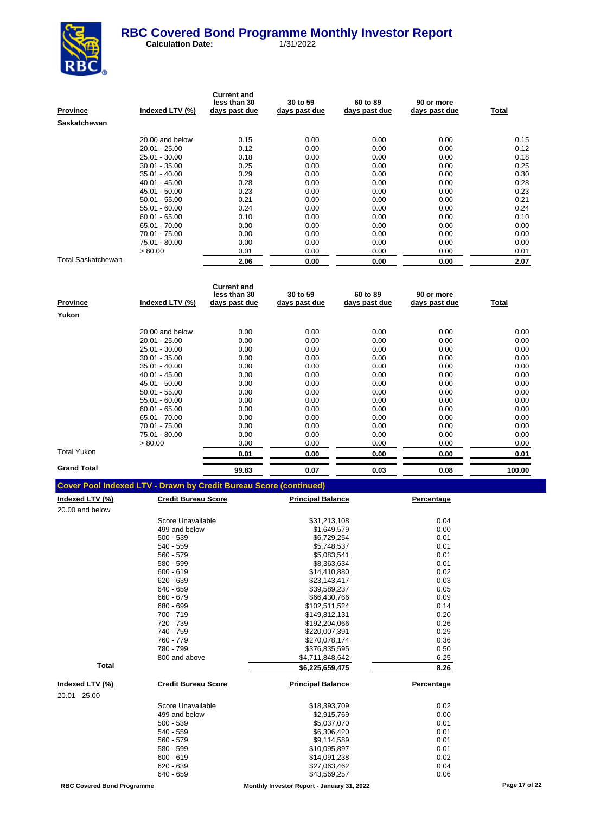

| <b>Province</b>           | Indexed LTV (%) | <b>Current and</b><br>less than 30<br>days past due | 30 to 59<br>days past due | 60 to 89<br>days past due | 90 or more<br>days past due | Total |
|---------------------------|-----------------|-----------------------------------------------------|---------------------------|---------------------------|-----------------------------|-------|
| <b>Saskatchewan</b>       |                 |                                                     |                           |                           |                             |       |
|                           | 20.00 and below | 0.15                                                | 0.00                      | 0.00                      | 0.00                        | 0.15  |
|                           | $20.01 - 25.00$ | 0.12                                                | 0.00                      | 0.00                      | 0.00                        | 0.12  |
|                           | $25.01 - 30.00$ | 0.18                                                | 0.00                      | 0.00                      | 0.00                        | 0.18  |
|                           | $30.01 - 35.00$ | 0.25                                                | 0.00                      | 0.00                      | 0.00                        | 0.25  |
|                           | $35.01 - 40.00$ | 0.29                                                | 0.00                      | 0.00                      | 0.00                        | 0.30  |
|                           | $40.01 - 45.00$ | 0.28                                                | 0.00                      | 0.00                      | 0.00                        | 0.28  |
|                           | 45.01 - 50.00   | 0.23                                                | 0.00                      | 0.00                      | 0.00                        | 0.23  |
|                           | $50.01 - 55.00$ | 0.21                                                | 0.00                      | 0.00                      | 0.00                        | 0.21  |
|                           | $55.01 - 60.00$ | 0.24                                                | 0.00                      | 0.00                      | 0.00                        | 0.24  |
|                           | $60.01 - 65.00$ | 0.10                                                | 0.00                      | 0.00                      | 0.00                        | 0.10  |
|                           | 65.01 - 70.00   | 0.00                                                | 0.00                      | 0.00                      | 0.00                        | 0.00  |
|                           | 70.01 - 75.00   | 0.00                                                | 0.00                      | 0.00                      | 0.00                        | 0.00  |
|                           | 75.01 - 80.00   | 0.00                                                | 0.00                      | 0.00                      | 0.00                        | 0.00  |
|                           | > 80.00         | 0.01                                                | 0.00                      | 0.00                      | 0.00                        | 0.01  |
| <b>Total Saskatchewan</b> |                 | 2.06                                                | 0.00                      | 0.00                      | 0.00                        | 2.07  |

| <b>Province</b>    | Indexed LTV (%) | <b>Current and</b><br>less than 30<br>days past due | 30 to 59<br>days past due | 60 to 89<br>days past due | 90 or more<br>days past due | Total  |
|--------------------|-----------------|-----------------------------------------------------|---------------------------|---------------------------|-----------------------------|--------|
| Yukon              |                 |                                                     |                           |                           |                             |        |
|                    | 20.00 and below | 0.00                                                | 0.00                      | 0.00                      | 0.00                        | 0.00   |
|                    | $20.01 - 25.00$ | 0.00                                                | 0.00                      | 0.00                      | 0.00                        | 0.00   |
|                    | 25.01 - 30.00   | 0.00                                                | 0.00                      | 0.00                      | 0.00                        | 0.00   |
|                    | $30.01 - 35.00$ | 0.00                                                | 0.00                      | 0.00                      | 0.00                        | 0.00   |
|                    | $35.01 - 40.00$ | 0.00                                                | 0.00                      | 0.00                      | 0.00                        | 0.00   |
|                    | $40.01 - 45.00$ | 0.00                                                | 0.00                      | 0.00                      | 0.00                        | 0.00   |
|                    | 45.01 - 50.00   | 0.00                                                | 0.00                      | 0.00                      | 0.00                        | 0.00   |
|                    | $50.01 - 55.00$ | 0.00                                                | 0.00                      | 0.00                      | 0.00                        | 0.00   |
|                    | $55.01 - 60.00$ | 0.00                                                | 0.00                      | 0.00                      | 0.00                        | 0.00   |
|                    | $60.01 - 65.00$ | 0.00                                                | 0.00                      | 0.00                      | 0.00                        | 0.00   |
|                    | 65.01 - 70.00   | 0.00                                                | 0.00                      | 0.00                      | 0.00                        | 0.00   |
|                    | 70.01 - 75.00   | 0.00                                                | 0.00                      | 0.00                      | 0.00                        | 0.00   |
|                    | 75.01 - 80.00   | 0.00                                                | 0.00                      | 0.00                      | 0.00                        | 0.00   |
|                    | > 80.00         | 0.00                                                | 0.00                      | 0.00                      | 0.00                        | 0.00   |
| Total Yukon        |                 | 0.01                                                | 0.00                      | 0.00                      | 0.00                        | 0.01   |
| <b>Grand Total</b> |                 | 99.83                                               | 0.07                      | 0.03                      | 0.08                        | 100.00 |

| <u>Indexed LTV (%)</u> | <b>Credit Bureau Score</b> | <b>Principal Balance</b> | Percentage |
|------------------------|----------------------------|--------------------------|------------|
| 20.00 and below        |                            |                          |            |
|                        | Score Unavailable          | \$31,213,108             | 0.04       |
|                        | 499 and below              | \$1,649,579              | 0.00       |
|                        | $500 - 539$                | \$6,729,254              | 0.01       |
|                        | 540 - 559                  | \$5,748,537              | 0.01       |
|                        | 560 - 579                  | \$5,083,541              | 0.01       |
|                        | 580 - 599                  | \$8,363,634              | 0.01       |
|                        | $600 - 619$                | \$14,410,880             | 0.02       |
|                        | $620 - 639$                | \$23,143,417             | 0.03       |
|                        | 640 - 659                  | \$39,589,237             | 0.05       |
|                        | 660 - 679                  | \$66,430,766             | 0.09       |
|                        | 680 - 699                  | \$102,511,524            | 0.14       |
|                        | 700 - 719                  | \$149,812,131            | 0.20       |
|                        | 720 - 739                  | \$192,204,066            | 0.26       |
|                        | 740 - 759                  | \$220,007,391            | 0.29       |
|                        | 760 - 779                  | \$270,078,174            | 0.36       |
|                        | 780 - 799                  | \$376,835,595            | 0.50       |
|                        | 800 and above              | \$4,711,848,642          | 6.25       |
| <b>Total</b>           |                            | \$6,225,659,475          | 8.26       |
| <u>Indexed LTV (%)</u> | <b>Credit Bureau Score</b> | <b>Principal Balance</b> | Percentage |
| 20.01 - 25.00          |                            |                          |            |
|                        | Score Unavailable          | \$18,393,709             | 0.02       |
|                        | 499 and below              | \$2,915,769              | 0.00       |
|                        | 500 - 539                  | \$5,037,070              | 0.01       |
|                        | 540 - 559                  | \$6,306,420              | 0.01       |
|                        | 560 - 579                  | \$9,114,589              | 0.01       |
|                        | 580 - 599                  | \$10,095,897             | 0.01       |
|                        | $600 - 619$                | \$14,091,238             | 0.02       |
|                        | 620 - 639                  | \$27,063,462             | 0.04       |
|                        | 640 - 659                  | \$43,569,257             | 0.06       |
|                        |                            |                          |            |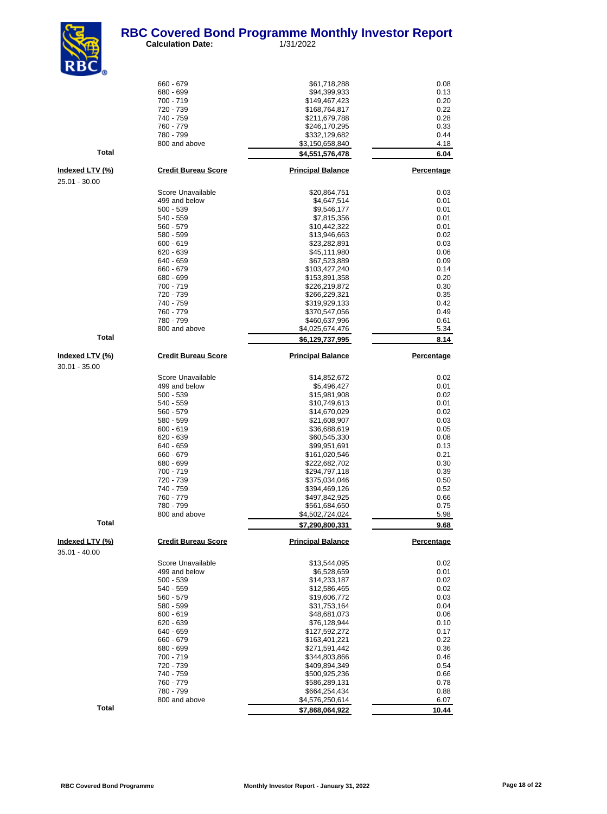

| <b>KDL</b>                              |                              |                                |                   |
|-----------------------------------------|------------------------------|--------------------------------|-------------------|
|                                         | 660 - 679                    | \$61,718,288                   | 0.08              |
|                                         | 680 - 699                    | \$94,399,933                   | 0.13              |
|                                         | 700 - 719                    | \$149,467,423                  | 0.20              |
|                                         | 720 - 739<br>740 - 759       | \$168,764,817<br>\$211,679,788 | 0.22<br>0.28      |
|                                         | 760 - 779                    | \$246,170,295                  | 0.33              |
|                                         | 780 - 799                    | \$332,129,682                  | 0.44              |
|                                         | 800 and above                | \$3,150,658,840                | 4.18              |
| <b>Total</b>                            |                              | \$4,551,576,478                | 6.04              |
| <u>Indexed LTV (%)</u>                  | <b>Credit Bureau Score</b>   | <b>Principal Balance</b>       | <b>Percentage</b> |
| 25.01 - 30.00                           |                              |                                |                   |
|                                         | Score Unavailable            | \$20,864,751                   | 0.03              |
|                                         | 499 and below<br>$500 - 539$ | \$4,647,514<br>\$9,546,177     | 0.01<br>0.01      |
|                                         | 540 - 559                    | \$7,815,356                    | 0.01              |
|                                         | 560 - 579                    | \$10,442,322                   | 0.01              |
|                                         | 580 - 599                    | \$13,946,663                   | 0.02              |
|                                         | 600 - 619<br>620 - 639       | \$23,282,891<br>\$45,111,980   | 0.03<br>0.06      |
|                                         | 640 - 659                    | \$67,523,889                   | 0.09              |
|                                         | 660 - 679                    | \$103,427,240                  | 0.14              |
|                                         | 680 - 699                    | \$153,891,358                  | 0.20              |
|                                         | 700 - 719                    | \$226,219,872                  | 0.30              |
|                                         | 720 - 739<br>740 - 759       | \$266,229,321<br>\$319,929,133 | 0.35<br>0.42      |
|                                         | 760 - 779                    | \$370,547,056                  | 0.49              |
|                                         | 780 - 799                    | \$460,637,996                  | 0.61              |
|                                         | 800 and above                | \$4,025,674,476                | 5.34              |
| <b>Total</b>                            |                              | \$6,129,737,995                | 8.14              |
| <u>Indexed LTV (%)</u>                  | <b>Credit Bureau Score</b>   | <b>Principal Balance</b>       | <b>Percentage</b> |
| $30.01 - 35.00$                         |                              |                                |                   |
|                                         | Score Unavailable            | \$14,852,672                   | 0.02              |
|                                         | 499 and below                | \$5,496,427                    | 0.01              |
|                                         | $500 - 539$<br>540 - 559     | \$15,981,908<br>\$10,749,613   | 0.02<br>0.01      |
|                                         | 560 - 579                    | \$14,670,029                   | 0.02              |
|                                         | 580 - 599                    | \$21,608,907                   | 0.03              |
|                                         | $600 - 619$                  | \$36,688,619                   | 0.05              |
|                                         | 620 - 639<br>640 - 659       | \$60,545,330<br>\$99,951,691   | 0.08<br>0.13      |
|                                         | 660 - 679                    | \$161,020,546                  | 0.21              |
|                                         | 680 - 699                    | \$222,682,702                  | 0.30              |
|                                         | 700 - 719                    | \$294,797,118                  | 0.39              |
|                                         | 720 - 739                    | \$375,034,046                  | 0.50              |
|                                         | 740 - 759<br>760 - 779       | \$394,469,126<br>\$497,842,925 | 0.52<br>0.66      |
|                                         | 780 - 799                    | \$561,684,650                  | 0.75              |
|                                         | 800 and above                | \$4,502,724,024                | 5.98              |
| Total                                   |                              | \$7,290,800,331                | 9.68              |
| <u>Indexed LTV (%)</u><br>35.01 - 40.00 | <b>Credit Bureau Score</b>   | <b>Principal Balance</b>       | Percentage        |
|                                         | Score Unavailable            | \$13,544,095                   | 0.02              |
|                                         | 499 and below                | \$6,528,659                    | 0.01              |
|                                         | 500 - 539<br>540 - 559       | \$14,233,187                   | 0.02              |
|                                         | 560 - 579                    | \$12,586,465<br>\$19,606,772   | 0.02<br>0.03      |
|                                         | 580 - 599                    | \$31,753,164                   | 0.04              |
|                                         | $600 - 619$                  | \$48,681,073                   | 0.06              |
|                                         | 620 - 639                    | \$76,128,944                   | 0.10              |
|                                         | 640 - 659                    | \$127,592,272                  | 0.17              |
|                                         | 660 - 679<br>680 - 699       | \$163,401,221<br>\$271,591,442 | 0.22<br>0.36      |
|                                         | 700 - 719                    | \$344,803,866                  | 0.46              |
|                                         | 720 - 739                    | \$409,894,349                  | 0.54              |
|                                         | 740 - 759                    | \$500,925,236                  | 0.66              |
|                                         | 760 - 779<br>780 - 799       | \$586,289,131<br>\$664,254,434 | 0.78<br>0.88      |
|                                         | 800 and above                | \$4,576,250,614                | 6.07              |
| Total                                   |                              | \$7,868,064,922                | 10.44             |
|                                         |                              |                                |                   |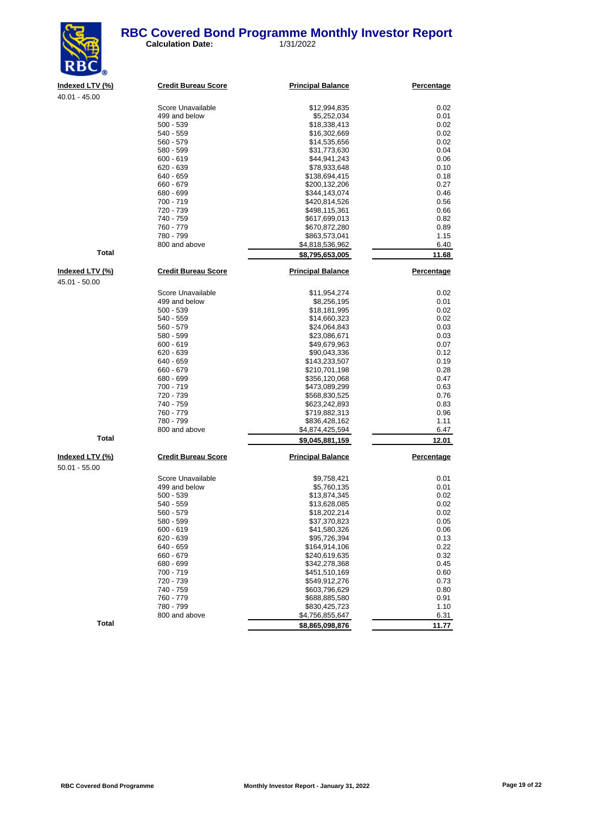

**Calculation Date:** 1/31/2022

| Indexed LTV (%) | <b>Credit Bureau Score</b> | <b>Principal Balance</b> | Percentage |
|-----------------|----------------------------|--------------------------|------------|
| $40.01 - 45.00$ |                            |                          |            |
|                 | Score Unavailable          | \$12,994,835             | 0.02       |
|                 | 499 and below              | \$5,252,034              | 0.01       |
|                 | $500 - 539$                | \$18,338,413             | 0.02       |
|                 | 540 - 559                  | \$16,302,669             | 0.02       |
|                 | $560 - 579$                | \$14,535,656             | 0.02       |
|                 | 580 - 599                  | \$31,773,630             | 0.04       |
|                 | $600 - 619$                | \$44,941,243             | 0.06       |
|                 | 620 - 639                  | \$78,933,648             | 0.10       |
|                 | 640 - 659                  | \$138,694,415            | 0.18       |
|                 | 660 - 679                  | \$200,132,206            | 0.27       |
|                 | 680 - 699                  | \$344,143,074            | 0.46       |
|                 | 700 - 719                  | \$420,814,526            | 0.56       |
|                 | 720 - 739                  | \$498,115,361            | 0.66       |
|                 | 740 - 759                  | \$617,699,013            | 0.82       |
|                 | 760 - 779                  | \$670,872,280            | 0.89       |
|                 | 780 - 799                  | \$863,573,041            | 1.15       |
|                 | 800 and above              | \$4,818,536,962          | 6.40       |
| <b>Total</b>    |                            | \$8,795,653,005          | 11.68      |
| Indexed LTV (%) | <b>Credit Bureau Score</b> | <b>Principal Balance</b> | Percentage |
| 45.01 - 50.00   |                            |                          |            |
|                 |                            |                          |            |
|                 | Score Unavailable          | \$11,954,274             | 0.02       |
|                 | 499 and below              | \$8,256,195              | 0.01       |
|                 | $500 - 539$                | \$18,181,995             | 0.02       |
|                 | $540 - 559$                | \$14,660,323             | 0.02       |
|                 | $560 - 579$                | \$24,064,843             | 0.03       |
|                 | 580 - 599                  | \$23,086,671             | 0.03       |
|                 | $600 - 619$                | \$49,679,963             | 0.07       |
|                 | 620 - 639                  | \$90,043,336             | 0.12       |
|                 | 640 - 659                  | \$143,233,507            | 0.19       |
|                 | 660 - 679                  | \$210,701,198            | 0.28       |
|                 | 680 - 699                  | \$356,120,068            | 0.47       |
|                 | 700 - 719                  | \$473,089,299            | 0.63       |
|                 | 720 - 739                  | \$568,830,525            | 0.76       |
|                 | 740 - 759                  | \$623 242 893            | 0.83       |

|                 | 780 - 799                  | .<br>\$863,573,041               | <br>1.15   |
|-----------------|----------------------------|----------------------------------|------------|
|                 | 800 and above              | \$4,818,536,962                  | 6.40       |
| Total           |                            | \$8,795,653,005                  | 11.68      |
| Indexed LTV (%) | <b>Credit Bureau Score</b> | <b>Principal Balance</b>         | Percentage |
| 45.01 - 50.00   |                            |                                  |            |
|                 | Score Unavailable          | \$11,954,274                     | 0.02       |
|                 | 499 and below              | \$8,256,195                      | 0.01       |
|                 | $500 - 539$                | \$18,181,995                     | 0.02       |
|                 | 540 - 559                  | \$14,660,323                     | 0.02       |
|                 | 560 - 579                  | \$24,064,843                     | 0.03       |
|                 | 580 - 599                  | \$23,086,671                     | 0.03       |
|                 | 600 - 619                  | \$49,679,963                     | 0.07       |
|                 | 620 - 639                  | \$90,043,336                     | 0.12       |
|                 | 640 - 659                  | \$143,233,507                    | 0.19       |
|                 | 660 - 679                  | \$210,701,198                    | 0.28       |
|                 | 680 - 699                  | \$356,120,068                    | 0.47       |
|                 | 700 - 719                  | \$473,089,299                    | 0.63       |
|                 | 720 - 739                  | \$568,830,525                    | 0.76       |
|                 | 740 - 759                  | \$623,242,893                    | 0.83       |
|                 | 760 - 779                  | \$719,882,313                    | 0.96       |
|                 | 780 - 799                  | \$836,428,162                    | 1.11       |
|                 | 800 and above              | \$4,874,425,594                  | 6.47       |
| <b>Total</b>    |                            | \$9,045,881,159                  | 12.01      |
| Indexed LTV (%) | <b>Credit Bureau Score</b> | <b>Principal Balance</b>         | Percentage |
| 50.01 - 55.00   |                            |                                  |            |
|                 | Score Unavailable          | \$9,758,421                      | 0.01       |
|                 | 499 and below              | \$5,760,135                      | 0.01       |
|                 | $500 - 539$                | \$13,874,345                     | 0.02       |
|                 | 540 - 559                  | \$13,628,085                     | 0.02       |
|                 | 560 - 579                  | \$18,202,214                     | 0.02       |
|                 | 580 - 599                  | \$37,370,823                     | 0.05       |
|                 | 600 - 619                  | \$41,580,326                     | 0.06       |
|                 | 620 - 639                  | \$95,726,394                     | 0.13       |
|                 | 640 - 659                  | \$164,914,106                    | 0.22       |
|                 | 660 - 679                  | \$240,619,635                    | 0.32       |
|                 | 680 - 699                  | \$342,278,368                    | 0.45       |
|                 | 700 - 719                  | \$451,510,169                    | 0.60       |
|                 | 720 - 739                  | \$549,912,276                    | 0.73       |
|                 | 740 - 759                  | \$603,796,629                    | 0.80       |
|                 | 760 - 779                  | \$688,885,580                    | 0.91       |
|                 | 780 - 799                  |                                  | 1.10       |
|                 | 800 and above              | \$830,425,723<br>\$4,756,855,647 | 6.31       |
| Total           |                            |                                  |            |
|                 |                            | \$8,865,098,876                  | 11.77      |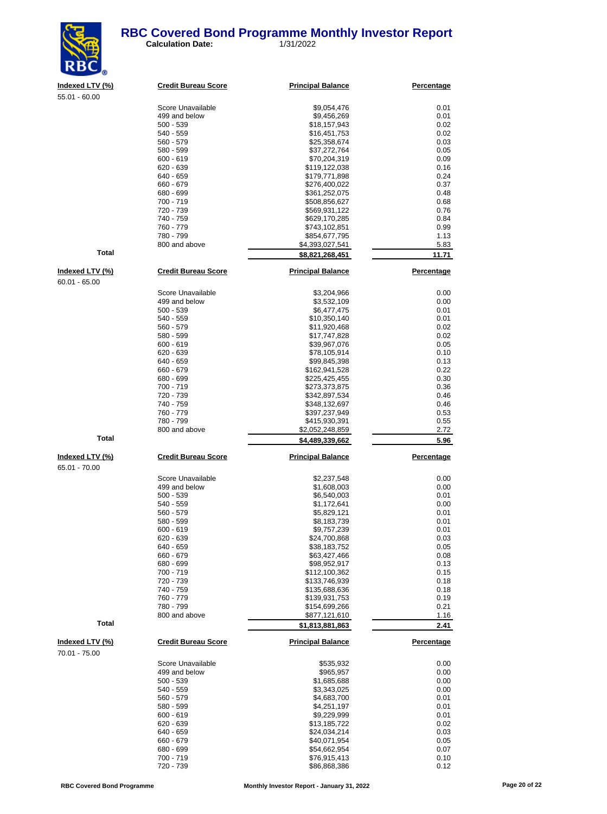#### **RBC Covered Bond Programme Monthly Investor Report**<br>Calculation Date: 1/31/2022 **Calculation Date:**



| RBC             |                            |                          |            |
|-----------------|----------------------------|--------------------------|------------|
| Indexed LTV (%) | <b>Credit Bureau Score</b> | <b>Principal Balance</b> | Percentage |
| $55.01 - 60.00$ |                            |                          |            |
|                 | Score Unavailable          | \$9,054,476              | 0.01       |
|                 | 499 and below              | \$9,456,269              | 0.01       |
|                 | $500 - 539$                | \$18,157,943             | 0.02       |
|                 | $540 - 559$                | \$16,451,753             | 0.02       |
|                 | $560 - 579$                | \$25,358,674             | 0.03       |
|                 | 580 - 599                  | \$37,272,764             | 0.05       |
|                 | $600 - 619$                | \$70,204,319             | 0.09       |
|                 | $620 - 639$                | \$119,122,038            | 0.16       |
|                 | 640 - 659                  | \$179,771,898            | 0.24       |
|                 | 660 - 679                  | \$276,400,022            | 0.37       |
|                 | 680 - 699                  | \$361,252,075            | 0.48       |
|                 | 700 - 719                  | \$508,856,627            | 0.68       |
|                 | 720 - 739                  | \$569,931,122            | 0.76       |
|                 | 740 - 759                  | \$629,170,285            | 0.84       |
|                 | 760 - 779                  | \$743,102,851            | 0.99       |
|                 | 780 - 799                  | \$854,677,795            | 1.13       |
|                 | 800 and above              | \$4,393,027,541          | 5.83       |
| <b>Total</b>    |                            | \$8,821,268,451          | 11.71      |
| Indexed LTV (%) | <b>Credit Bureau Score</b> | <b>Principal Balance</b> | Percentage |
| $60.01 - 65.00$ |                            |                          |            |
|                 | Score Unavailable          | \$3,204,966              | 0.00       |
|                 | 499 and below              | \$3,532,109              | 0.00       |
|                 | $500 - 539$                | \$6,477,475              | 0.01       |
|                 | $540 - 559$                | \$10,350,140             | 0.01       |
|                 | 560 - 579                  | \$11,920,468             | 0.02       |
|                 | 580 - 599                  | \$17,747,828             | 0.02       |
|                 | $600 - 619$                | \$39,967,076             | 0.05       |
|                 | $620 - 639$                | \$78,105,914             | 0.10       |
|                 | 640 - 659                  | \$99,845,398             | 0.13       |
|                 | 660 - 679                  | \$162,941,528            | 0.22       |
|                 | 680 - 699                  | \$225,425,455            | 0.30       |
|                 | 700 - 719                  | \$273,373,875            | 0.36       |
|                 | 720 - 739                  | \$342,897,534            | 0.46       |
|                 |                            |                          |            |

65.01 - 70.00

70.01 - 75.00

 $\frac{273,373,875}{8342,897,534}$  0.36<br>\$342,897,534 0.46 \$342,897,534 0.46<br>\$348,132,697 0.46 740 - 759 \$348,132,697 0.46 760 - 779 \$397,237,949 0.53 780 - 799 \$415,930,391 0.55 \$2,052,248,859 2.72 **Total 5.96 5.96 5.96 5.96 5.96 5.96 5.96 5.96 Indexed LTV (%) Credit Bureau Score Principal Balance Percentage** Score Unavailable  $$2,237,548$  0.00<br>499 and below 81,608,003 0.00 499 and below<br>500 - 539 500 - 539 \$6,540,003 \$6,540,003 \$6,540,003 \$6,540,003 \$6,540,003 \$6,540,003 \$6,540,003 \$6,540,000 \$6,000 \$6,000 \$6,000 \$6,000 \$6,000 \$6,000 \$6,000 \$6,000 \$6,000 \$6,000 \$6,000 \$6,000 \$6,000 \$6,000 \$6,000 \$6,000 \$6,000 \$6,00 540 - 559 \$1,172,641 0.00 560 - 579 \$5,829,121 0.01 580 - 599 \$8,183,739 0.01 600 - 619 \$9,757,239 0.01 620 - 639 \$24,700,868 0.03 \$38,183,752 0.05  $660 - 679$  0.08<br>  $680 - 699$  0.13 680 - 699 \$98,952,917 0.13 700 - 719 \$112,100,362 0.15 720 - 739 \$133,746,939 0.18 740 - 759 \$135,688,636 0.18 760 - 779<br>780 - 799<br>8154,699,266 780 - 799 \$154,699,266 0.21 \$877,121,610 **Total \$1,813,881,863 2.41 Indexed LTV (%) Credit Bureau Score Principal Balance Percentage** Score Unavailable \$535,932 0.00 499 and below 6965,957 6.00 \$965,957 6.00 \$965,957 6.00 \$1,685,688 699 6.00 \$1,685,688 6.00 \$1,685,688 6.00 \$1,685,688 6.00 \$1,685,688 6.00 \$1,685,688 6.00 \$1,685,688 6.00 \$1,685,688 6.00 \$1,685,688 6.00 \$1,685,688 6.00 \$1 500 - 539 \$1,685,688 0.00 540 - 559 \$3,343,025 0.00 560 - 579 \$4,683,700 0.01 580 - 599<br>600 - 619<br>600 - 619  $$9.229.999$  0.01 620 - 639 \$13,185,722 \$13,185,722 0.02 640 - 659 \$24,034,214 0.03  $660 - 679$  0.05<br>  $680 - 699$  0.07<br>  $680 - 699$  0.07 680 - 699 \$54,662,954 0.07 700 - 719 \$76,915,413 0.10

886.868,386